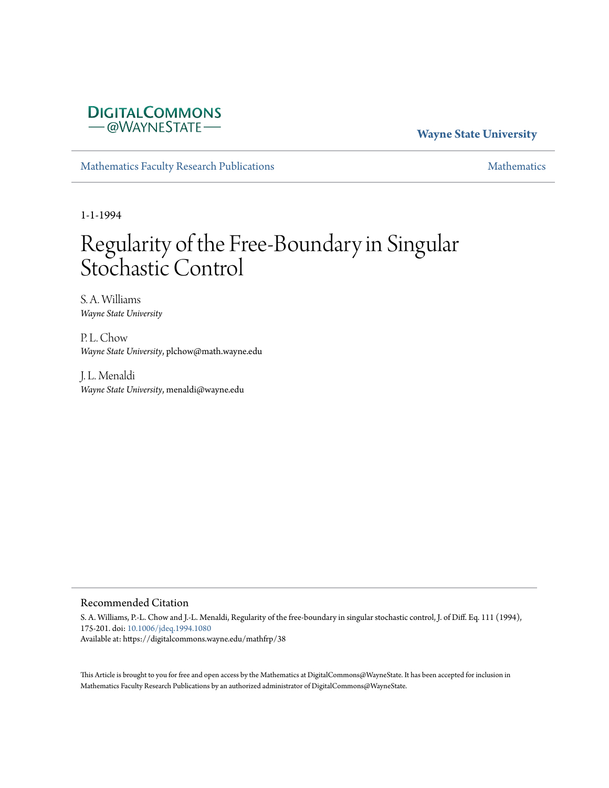## **DIGITALCOMMONS** - @WAYNESTATE-

## **Wayne State University**

[Mathematics Faculty Research Publications](https://digitalcommons.wayne.edu/mathfrp) [Mathematics](https://digitalcommons.wayne.edu/math) Mathematics

1-1-1994

# Regularity of the Free-Boundary in Singular Stochastic Control

S. A. Williams *Wayne State University*

P.L. Chow *Wayne State University*, plchow@math.wayne.edu

J. L. Menaldi *Wayne State University*, menaldi@wayne.edu

#### Recommended Citation

S. A. Williams, P.-L. Chow and J.-L. Menaldi, Regularity of the free-boundary in singular stochastic control, J. of Diff. Eq. 111 (1994), 175-201. doi: [10.1006/jdeq.1994.1080](https://dx.doi.org/10.1006/jdeq.1994.1080) Available at: https://digitalcommons.wayne.edu/mathfrp/38

This Article is brought to you for free and open access by the Mathematics at DigitalCommons@WayneState. It has been accepted for inclusion in Mathematics Faculty Research Publications by an authorized administrator of DigitalCommons@WayneState.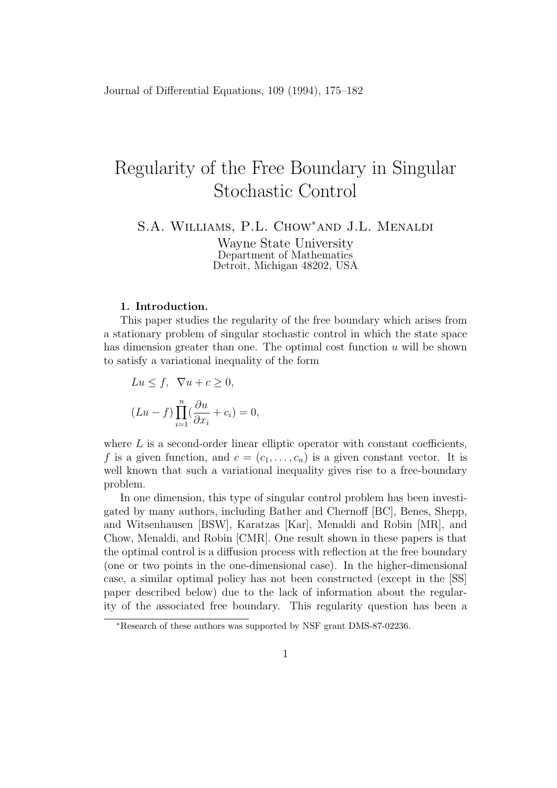## Regularity of the Free Boundary in Singular Stochastic Control

S.A. Williams, P.L. Chow*∗*and J.L. Menaldi

Wayne State University Department of Mathematics Detroit, Michigan 48202, USA

#### **1. Introduction.**

This paper studies the regularity of the free boundary which arises from a stationary problem of singular stochastic control in which the state space has dimension greater than one. The optimal cost function *u* will be shown to satisfy a variational inequality of the form

$$
Lu \le f, \ \nabla u + c \ge 0,
$$
  

$$
(Lu - f) \prod_{i=1}^{n} \left( \frac{\partial u}{\partial x_i} + c_i \right) = 0,
$$

where *L* is a second-order linear elliptic operator with constant coefficients, f is a given function, and  $c = (c_1, \ldots, c_n)$  is a given constant vector. It is well known that such a variational inequality gives rise to a free-boundary problem.

In one dimension, this type of singular control problem has been investigated by many authors, including Bather and Chernoff [BC], Benes, Shepp, and Witsenhausen [BSW], Karatzas [Kar], Menaldi and Robin [MR], and Chow, Menaldi, and Robin [CMR]. One result shown in these papers is that the optimal control is a diffusion process with reflection at the free boundary (one or two points in the one-dimensional case). In the higher-dimensional case, a similar optimal policy has not been constructed (except in the [SS] paper described below) due to the lack of information about the regularity of the associated free boundary. This regularity question has been a

*<sup>∗</sup>*Research of these authors was supported by NSF grant DMS-87-02236.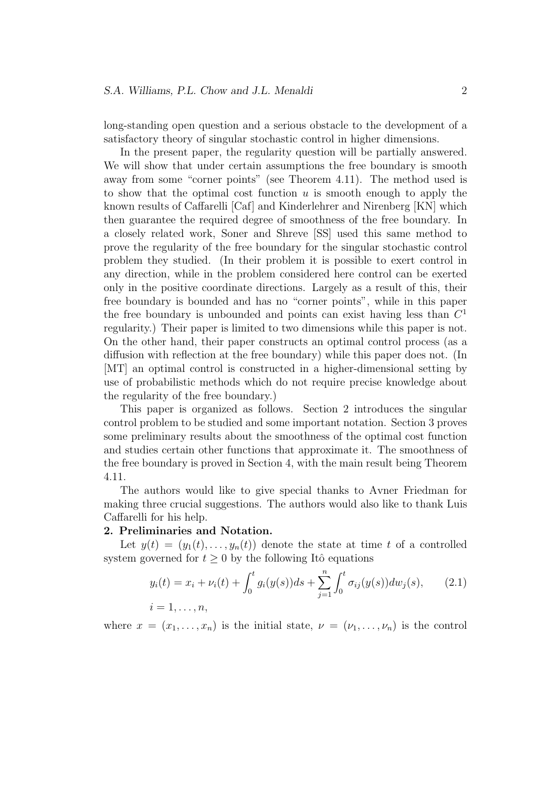long-standing open question and a serious obstacle to the development of a satisfactory theory of singular stochastic control in higher dimensions.

In the present paper, the regularity question will be partially answered. We will show that under certain assumptions the free boundary is smooth away from some "corner points" (see Theorem 4.11). The method used is to show that the optimal cost function *u* is smooth enough to apply the known results of Caffarelli [Caf] and Kinderlehrer and Nirenberg [KN] which then guarantee the required degree of smoothness of the free boundary. In a closely related work, Soner and Shreve [SS] used this same method to prove the regularity of the free boundary for the singular stochastic control problem they studied. (In their problem it is possible to exert control in any direction, while in the problem considered here control can be exerted only in the positive coordinate directions. Largely as a result of this, their free boundary is bounded and has no "corner points", while in this paper the free boundary is unbounded and points can exist having less than *C* 1 regularity.) Their paper is limited to two dimensions while this paper is not. On the other hand, their paper constructs an optimal control process (as a diffusion with reflection at the free boundary) while this paper does not. (In [MT] an optimal control is constructed in a higher-dimensional setting by use of probabilistic methods which do not require precise knowledge about the regularity of the free boundary.)

This paper is organized as follows. Section 2 introduces the singular control problem to be studied and some important notation. Section 3 proves some preliminary results about the smoothness of the optimal cost function and studies certain other functions that approximate it. The smoothness of the free boundary is proved in Section 4, with the main result being Theorem 4.11.

The authors would like to give special thanks to Avner Friedman for making three crucial suggestions. The authors would also like to thank Luis Caffarelli for his help.

#### **2. Preliminaries and Notation.**

Let  $y(t) = (y_1(t), \ldots, y_n(t))$  denote the state at time *t* of a controlled system governed for  $t \geq 0$  by the following Itô equations

$$
y_i(t) = x_i + \nu_i(t) + \int_0^t g_i(y(s))ds + \sum_{j=1}^n \int_0^t \sigma_{ij}(y(s))dw_j(s), \qquad (2.1)
$$
  
 $i = 1, ..., n,$ 

where  $x = (x_1, \ldots, x_n)$  is the initial state,  $\nu = (\nu_1, \ldots, \nu_n)$  is the control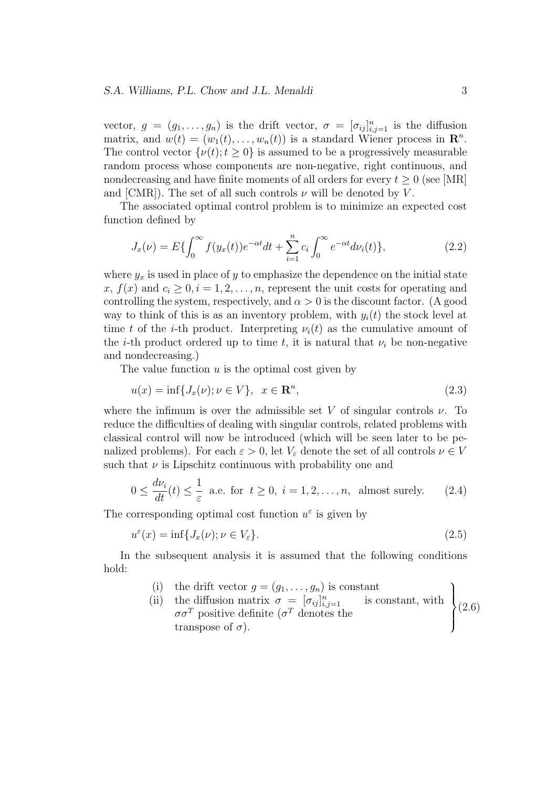vector,  $g = (g_1, \ldots, g_n)$  is the drift vector,  $\sigma = [\sigma_{ij}]_{i,j=1}^n$  is the diffusion matrix, and  $w(t) = (w_1(t), \ldots, w_n(t))$  is a standard Wiener process in  $\mathbb{R}^n$ . The control vector  $\{\nu(t); t \geq 0\}$  is assumed to be a progressively measurable random process whose components are non-negative, right continuous, and nondecreasing and have finite moments of all orders for every  $t \geq 0$  (see [MR] and [CMR]). The set of all such controls  $\nu$  will be denoted by  $V$ .

The associated optimal control problem is to minimize an expected cost function defined by

$$
J_x(\nu) = E\{\int_0^\infty f(y_x(t))e^{-\alpha t}dt + \sum_{i=1}^n c_i \int_0^\infty e^{-\alpha t}d\nu_i(t)\},\tag{2.2}
$$

where  $y_x$  is used in place of  $y$  to emphasize the dependence on the initial state  $x, f(x)$  and  $c_i \geq 0, i = 1, 2, \ldots, n$ , represent the unit costs for operating and controlling the system, respectively, and  $\alpha > 0$  is the discount factor. (A good way to think of this is as an inventory problem, with  $y_i(t)$  the stock level at time *t* of the *i*-th product. Interpreting  $\nu_i(t)$  as the cumulative amount of the *i*-th product ordered up to time *t*, it is natural that  $\nu_i$  be non-negative and nondecreasing.)

The value function *u* is the optimal cost given by

$$
u(x) = \inf\{J_x(\nu); \nu \in V\}, \quad x \in \mathbb{R}^n,
$$
\n
$$
(2.3)
$$

where the infimum is over the admissible set *V* of singular controls  $\nu$ . To reduce the difficulties of dealing with singular controls, related problems with classical control will now be introduced (which will be seen later to be penalized problems). For each  $\varepsilon > 0$ , let  $V_{\varepsilon}$  denote the set of all controls  $\nu \in V$ such that  $\nu$  is Lipschitz continuous with probability one and

$$
0 \le \frac{d\nu_i}{dt}(t) \le \frac{1}{\varepsilon} \text{ a.e. for } t \ge 0, \ i = 1, 2, \dots, n, \text{ almost surely.}
$$
 (2.4)

The corresponding optimal cost function  $u^{\varepsilon}$  is given by

$$
u^{\varepsilon}(x) = \inf\{J_x(\nu); \nu \in V_{\varepsilon}\}.
$$
\n(2.5)

In the subsequent analysis it is assumed that the following conditions hold:

- (i) the drift vector  $g = (g_1, \ldots, g_n)$  is constant
- (ii) the diffusion matrix  $\sigma = [\sigma_{ij}]_{i,j=1}^n$  is constant, with  $\sigma\sigma^T$  positive definite ( $\sigma^T$  denotes the transpose of  $\sigma$ ).  $\overline{\mathcal{L}}$  $\int$ (2.6)

 $\lambda$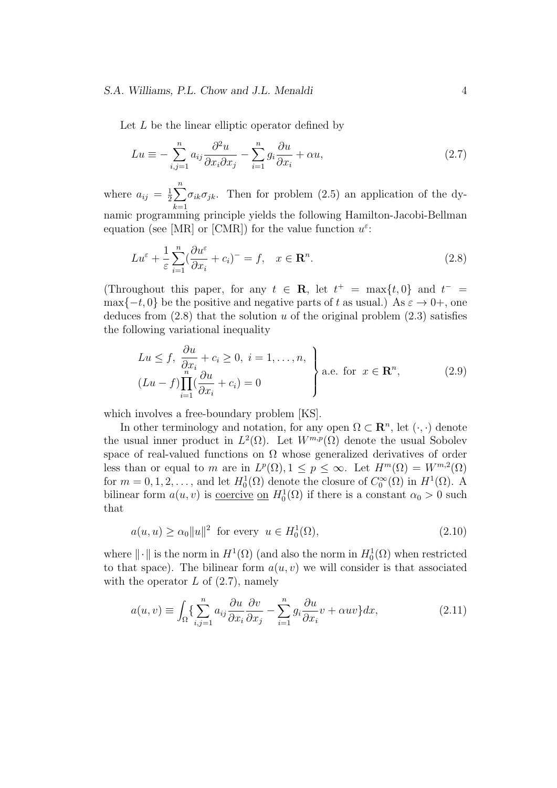#### *S.A. Williams, P.L. Chow and J.L. Menaldi* 4

Let *L* be the linear elliptic operator defined by

$$
Lu \equiv -\sum_{i,j=1}^{n} a_{ij} \frac{\partial^2 u}{\partial x_i \partial x_j} - \sum_{i=1}^{n} g_i \frac{\partial u}{\partial x_i} + \alpha u,
$$
\n(2.7)

where  $a_{ij} = \frac{1}{2}$  $\frac{1}{2}\sum^{n}$ *k*=1  $\sigma_{ik}\sigma_{jk}$ . Then for problem (2.5) an application of the dynamic programming principle yields the following Hamilton-Jacobi-Bellman equation (see [MR] or [CMR]) for the value function *u ε* :

$$
Lu^{\varepsilon} + \frac{1}{\varepsilon} \sum_{i=1}^{n} \left(\frac{\partial u^{\varepsilon}}{\partial x_{i}} + c_{i}\right)^{-} = f, \quad x \in \mathbf{R}^{n}.
$$
\n(2.8)

(Throughout this paper, for any  $t \in \mathbb{R}$ , let  $t^+ = \max\{t, 0\}$  and  $t^- =$  $\max\{-t, 0\}$  be the positive and negative parts of *t* as usual.) As  $\varepsilon \to 0^+$ , one deduces from  $(2.8)$  that the solution *u* of the original problem  $(2.3)$  satisfies the following variational inequality

$$
Lu \le f, \frac{\partial u}{\partial x_i} + c_i \ge 0, \ i = 1, ..., n, \}
$$
  
\n
$$
(Lu - f) \prod_{i=1}^{n} (\frac{\partial u}{\partial x_i} + c_i) = 0
$$
 \n\qquad a.e. for  $x \in \mathbb{R}^n$ , (2.9)

which involves a free-boundary problem [KS].

In other terminology and notation, for any open  $\Omega \subset \mathbb{R}^n$ , let  $(\cdot, \cdot)$  denote the usual inner product in  $L^2(\Omega)$ . Let  $W^{m,p}(\Omega)$  denote the usual Sobolev space of real-valued functions on  $\Omega$  whose generalized derivatives of order less than or equal to *m* are in  $L^p(\Omega)$ ,  $1 \leq p \leq \infty$ . Let  $H^m(\Omega) = W^{m,2}(\Omega)$ for  $m = 0, 1, 2, \ldots$ , and let  $H_0^1(\Omega)$  denote the closure of  $C_0^{\infty}(\Omega)$  in  $H^1(\Omega)$ . A bilinear form  $a(u, v)$  is <u>coercive</u> on  $H_0^1(\Omega)$  if there is a constant  $\alpha_0 > 0$  such that

$$
a(u, u) \ge \alpha_0 \|u\|^2 \quad \text{for every} \quad u \in H_0^1(\Omega), \tag{2.10}
$$

where  $\|\cdot\|$  is the norm in  $H^1(\Omega)$  (and also the norm in  $H_0^1(\Omega)$  when restricted to that space). The bilinear form  $a(u, v)$  we will consider is that associated with the operator *L* of  $(2.7)$ , namely

$$
a(u,v) \equiv \int_{\Omega} \left\{ \sum_{i,j=1}^{n} a_{ij} \frac{\partial u}{\partial x_i} \frac{\partial v}{\partial x_j} - \sum_{i=1}^{n} g_i \frac{\partial u}{\partial x_i} v + \alpha u v \right\} dx, \tag{2.11}
$$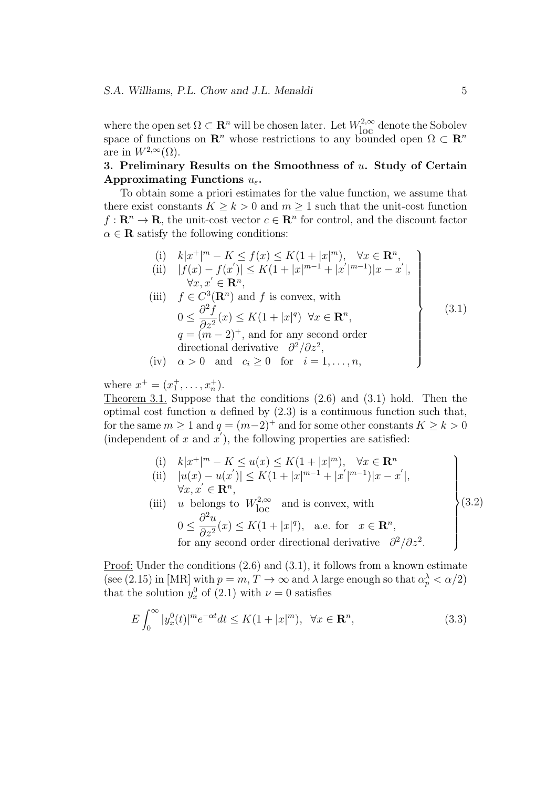where the open set  $\Omega \subset \mathbb{R}^n$  will be chosen later. Let  $W^{2,\infty}_{loc}$  denote the Sobolev space of functions on  $\mathbb{R}^n$  whose restrictions to any bounded open  $\Omega \subset \mathbb{R}^n$ are in  $W^{2,\infty}(\Omega)$ .

### **3. Preliminary Results on the Smoothness of** *u***. Study of Certain Approximating Functions** *uε***.**

To obtain some a priori estimates for the value function, we assume that there exist constants  $K \geq k > 0$  and  $m \geq 1$  such that the unit-cost function  $f: \mathbb{R}^n \to \mathbb{R}$ , the unit-cost vector  $c \in \mathbb{R}^n$  for control, and the discount factor  $\alpha \in \mathbf{R}$  satisfy the following conditions:

(i) 
$$
k|x^+|^{m} - K \le f(x) \le K(1 + |x|^m)
$$
,  $\forall x \in \mathbb{R}^n$ ,  
\n(ii)  $|f(x) - f(x')| \le K(1 + |x|^{m-1} + |x'|^{m-1})|x - x'|$ ,  
\n $\forall x, x' \in \mathbb{R}^n$ ,  
\n(iii)  $f \in C^3(\mathbb{R}^n)$  and  $f$  is convex, with  
\n $0 \le \frac{\partial^2 f}{\partial z^2}(x) \le K(1 + |x|^q) \quad \forall x \in \mathbb{R}^n$ ,  
\n $q = (m-2)^+$ , and for any second order  
\ndirectional derivative  $\frac{\partial^2}{\partial z^2}$ ,  
\n(iv)  $\alpha > 0$  and  $c_i \ge 0$  for  $i = 1, ..., n$ , (3.1)

where  $x^+ = (x_1^+, \ldots, x_n^+).$ 

Theorem 3.1. Suppose that the conditions (2.6) and (3.1) hold. Then the optimal cost function *u* defined by (2.3) is a continuous function such that, for the same  $m \ge 1$  and  $q = (m-2)^+$  and for some other constants  $K \ge k > 0$ (independent of  $x$  and  $x'$ ), the following properties are satisfied:

(i) 
$$
k|x^+|^m - K \le u(x) \le K(1+|x|^m), \quad \forall x \in \mathbb{R}^n
$$
  
\n(ii)  $|u(x) - u(x')| \le K(1+|x|^{m-1}+|x'|^{m-1})|x-x'|,$   
\n $\forall x, x' \in \mathbb{R}^n,$   
\n(iii) *u* belongs to  $W_{\text{loc}}^{2,\infty}$  and is convex, with

$$
0 \le \frac{\partial^2 u}{\partial z^2}(x) \le K(1+|x|^q), \text{ a.e. for } x \in \mathbb{R}^n,
$$
  
for any second order directional derivative  $\partial^2/\partial z^2$ .

Proof: Under the conditions  $(2.6)$  and  $(3.1)$ , it follows from a known estimate (see (2.15) in [MR] with  $p = m, T \to \infty$  and  $\lambda$  large enough so that  $\alpha_p^{\lambda} < \alpha/2$ ) that the solution  $y_x^0$  of (2.1) with  $\nu = 0$  satisfies

$$
E\int_0^\infty |y_x^0(t)|^m e^{-\alpha t} dt \le K(1+|x|^m), \quad \forall x \in \mathbf{R}^n,
$$
\n(3.3)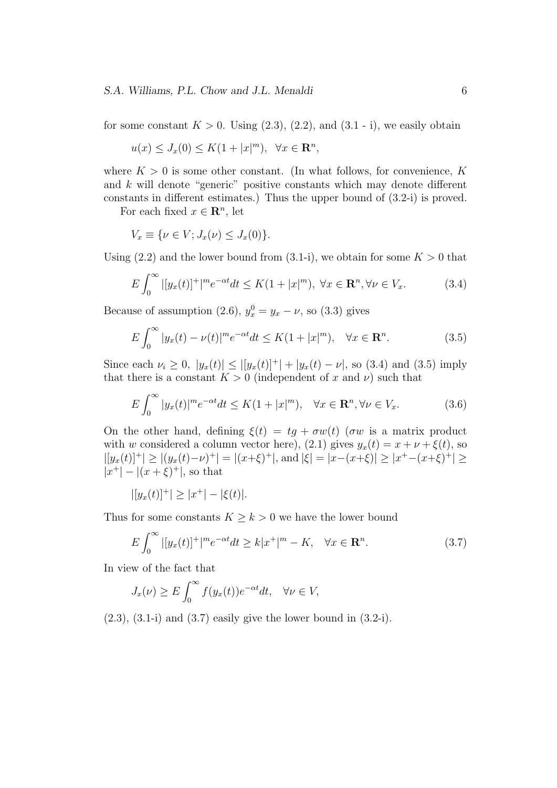for some constant  $K > 0$ . Using  $(2.3)$ ,  $(2.2)$ , and  $(3.1 - i)$ , we easily obtain

$$
u(x) \le J_x(0) \le K(1+|x|^m), \ \ \forall x \in \mathbf{R}^n,
$$

where  $K > 0$  is some other constant. (In what follows, for convenience,  $K$ and *k* will denote "generic" positive constants which may denote different constants in different estimates.) Thus the upper bound of (3.2-i) is proved.

For each fixed  $x \in \mathbb{R}^n$ , let

$$
V_x \equiv \{ \nu \in V; J_x(\nu) \le J_x(0) \}.
$$

Using  $(2.2)$  and the lower bound from  $(3.1-i)$ , we obtain for some  $K > 0$  that

$$
E\int_0^\infty |[y_x(t)]^+|^m e^{-\alpha t} dt \le K(1+|x|^m), \ \forall x \in \mathbf{R}^n, \forall \nu \in V_x. \tag{3.4}
$$

Because of assumption (2.6),  $y_x^0 = y_x - \nu$ , so (3.3) gives

$$
E\int_0^\infty |y_x(t) - \nu(t)|^m e^{-\alpha t} dt \le K(1 + |x|^m), \quad \forall x \in \mathbf{R}^n.
$$
 (3.5)

Since each  $\nu_i \geq 0$ ,  $|y_x(t)| \leq |[y_x(t)]^+| + |y_x(t) - \nu|$ , so (3.4) and (3.5) imply that there is a constant  $K > 0$  (independent of x and v) such that

$$
E\int_0^\infty |y_x(t)|^m e^{-\alpha t} dt \le K(1+|x|^m), \quad \forall x \in \mathbf{R}^n, \forall \nu \in V_x. \tag{3.6}
$$

On the other hand, defining  $\xi(t) = tg + \sigma w(t)$  ( $\sigma w$  is a matrix product with *w* considered a column vector here), (2.1) gives  $y_x(t) = x + \nu + \xi(t)$ , so  $|[y_x(t)]^+| \ge |(y_x(t)-\nu)^+| = |(x+\xi)^+|$ , and  $|\xi| = |x-(x+\xi)| \ge |x^+-(x+\xi)^+| \ge$  $|x^+| - |(x+\xi)^+|$ , so that

$$
|[y_x(t)]^+| \ge |x^+| - |\xi(t)|.
$$

Thus for some constants  $K \geq k > 0$  we have the lower bound

$$
E\int_0^\infty |[y_x(t)]^+|^m e^{-\alpha t} dt \ge k|x^+|^m - K, \quad \forall x \in \mathbf{R}^n. \tag{3.7}
$$

In view of the fact that

$$
J_x(\nu) \ge E \int_0^\infty f(y_x(t)) e^{-\alpha t} dt, \quad \forall \nu \in V,
$$

 $(2.3)$ ,  $(3.1-i)$  and  $(3.7)$  easily give the lower bound in  $(3.2-i)$ .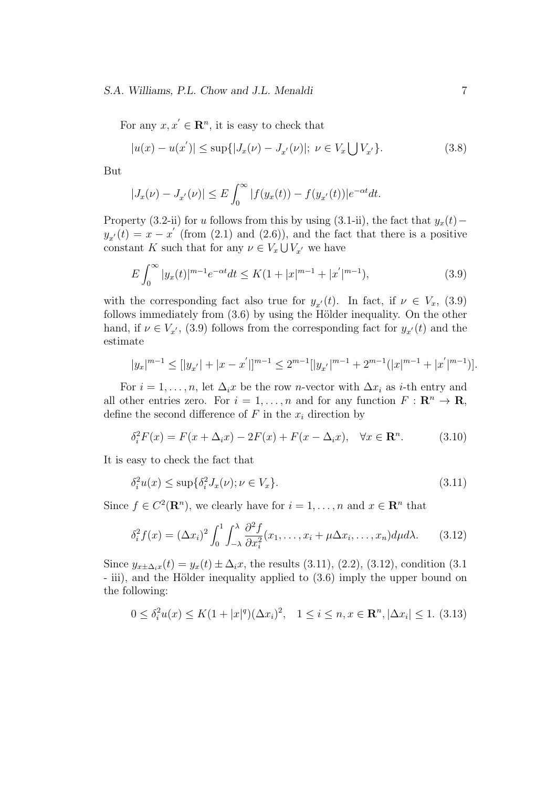#### *S.A. Williams, P.L. Chow and J.L. Menaldi* 7

For any  $x, x' \in \mathbb{R}^n$ , it is easy to check that

$$
|u(x) - u(x')| \le \sup\{|J_x(\nu) - J_{x'}(\nu)|; \ \nu \in V_x \bigcup V_{x'}\}.
$$
\n(3.8)

But

$$
|J_x(\nu) - J_{x'}(\nu)| \le E \int_0^\infty |f(y_x(t)) - f(y_{x'}(t))| e^{-\alpha t} dt.
$$

Property (3.2-ii) for *u* follows from this by using (3.1-ii), the fact that  $y_x(t)$  −  $y_{x'}(t) = x - x'$  (from (2.1) and (2.6)), and the fact that there is a positive constant *K* such that for any  $\nu \in V_x \cup V_{x'}$  we have

$$
E\int_0^\infty |y_x(t)|^{m-1} e^{-\alpha t} dt \le K(1+|x|^{m-1}+|x'|^{m-1}),\tag{3.9}
$$

with the corresponding fact also true for  $y_{x'}(t)$ . In fact, if  $\nu \in V_x$ , (3.9) follows immediately from  $(3.6)$  by using the Hölder inequality. On the other hand, if  $\nu \in V_{x'}$ , (3.9) follows from the corresponding fact for  $y_{x'}(t)$  and the estimate

$$
|y_x|^{m-1} \leq [|y_{x'}| + |x - x^{'}|]^{m-1} \leq 2^{m-1}[|y_{x'}|^{m-1} + 2^{m-1}(|x|^{m-1} + |x^{'}|^{m-1})].
$$

For  $i = 1, \ldots, n$ , let  $\Delta_i x$  be the row *n*-vector with  $\Delta x_i$  as *i*-th entry and all other entries zero. For  $i = 1, ..., n$  and for any function  $F : \mathbb{R}^n \to \mathbb{R}$ , define the second difference of  $F$  in the  $x_i$  direction by

$$
\delta_i^2 F(x) = F(x + \Delta_i x) - 2F(x) + F(x - \Delta_i x), \quad \forall x \in \mathbf{R}^n.
$$
 (3.10)

It is easy to check the fact that

$$
\delta_i^2 u(x) \le \sup \{ \delta_i^2 J_x(\nu) ; \nu \in V_x \}. \tag{3.11}
$$

Since  $f \in C^2(\mathbf{R}^n)$ , we clearly have for  $i = 1, ..., n$  and  $x \in \mathbf{R}^n$  that

$$
\delta_i^2 f(x) = (\Delta x_i)^2 \int_0^1 \int_{-\lambda}^{\lambda} \frac{\partial^2 f}{\partial x_i^2}(x_1, \dots, x_i + \mu \Delta x_i, \dots, x_n) d\mu d\lambda. \tag{3.12}
$$

Since  $y_{x \pm \Delta_i x}(t) = y_x(t) \pm \Delta_i x$ , the results (3.11), (2.2), (3.12), condition (3.1) - iii), and the Hölder inequality applied to  $(3.6)$  imply the upper bound on the following:

$$
0 \le \delta_i^2 u(x) \le K(1+|x|^q)(\Delta x_i)^2, \quad 1 \le i \le n, x \in \mathbf{R}^n, |\Delta x_i| \le 1. \tag{3.13}
$$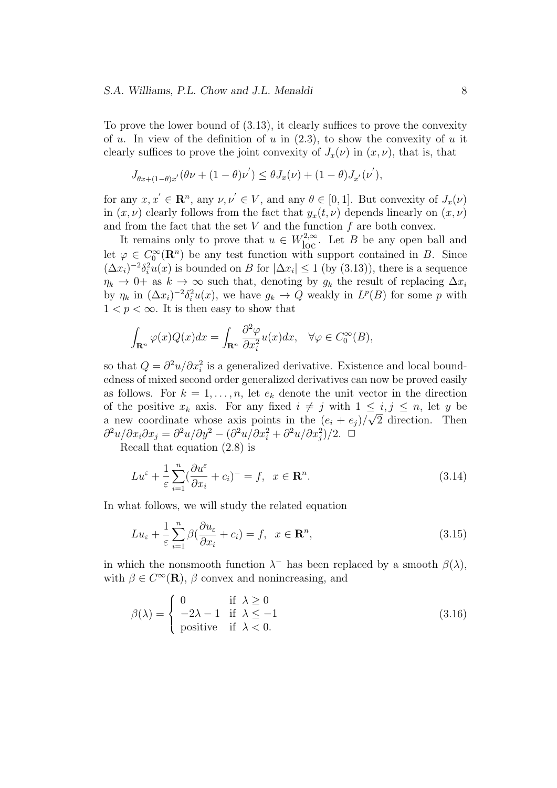To prove the lower bound of (3.13), it clearly suffices to prove the convexity of *u*. In view of the definition of *u* in (2.3), to show the convexity of *u* it clearly suffices to prove the joint convexity of  $J_x(\nu)$  in  $(x, \nu)$ , that is, that

$$
J_{\theta x + (1-\theta)x'}(\theta \nu + (1-\theta)\nu') \le \theta J_x(\nu) + (1-\theta)J_{x'}(\nu'),
$$

for any  $x, x' \in \mathbb{R}^n$ , any  $\nu, \nu' \in V$ , and any  $\theta \in [0, 1]$ . But convexity of  $J_x(\nu)$ in  $(x, \nu)$  clearly follows from the fact that  $y_x(t, \nu)$  depends linearly on  $(x, \nu)$ and from the fact that the set *V* and the function *f* are both convex.

It remains only to prove that  $u \in W^{2,\infty}_{loc}$ . Let *B* be any open ball and let  $\varphi \in C_0^{\infty}(\mathbb{R}^n)$  be any test function with support contained in *B*. Since  $(\Delta x_i)^{-2} \delta_i^2 u(x)$  is bounded on *B* for  $|\Delta x_i| \leq 1$  (by (3.13)), there is a sequence  $\eta_k \to 0^+$  as  $k \to \infty$  such that, denoting by  $g_k$  the result of replacing  $\Delta x_i$ by  $\eta_k$  in  $(\Delta x_i)^{-2} \delta_i^2 u(x)$ , we have  $g_k \to Q$  weakly in  $L^p(B)$  for some *p* with  $1 < p < \infty$ . It is then easy to show that

$$
\int_{\mathbf{R}^n} \varphi(x) Q(x) dx = \int_{\mathbf{R}^n} \frac{\partial^2 \varphi}{\partial x_i^2} u(x) dx, \quad \forall \varphi \in C_0^{\infty}(B),
$$

so that  $Q = \frac{\partial^2 u}{\partial x_i^2}$  is a generalized derivative. Existence and local boundedness of mixed second order generalized derivatives can now be proved easily as follows. For  $k = 1, \ldots, n$ , let  $e_k$  denote the unit vector in the direction of the positive  $x_k$  axis. For any fixed  $i \neq j$  with  $1 \leq i, j \leq n$ , let *y* be a new coordinate whose axis points in the  $(e_i + e_j)/\sqrt{2}$  direction. Then  $\frac{\partial^2 u}{\partial x_i \partial x_j} = \frac{\partial^2 u}{\partial y^2} - \frac{\partial^2 u}{\partial x_i^2} + \frac{\partial^2 u}{\partial x_j^2}$ */2<i>.* <del></del>

Recall that equation (2.8) is

$$
Lu^{\varepsilon} + \frac{1}{\varepsilon} \sum_{i=1}^{n} \left(\frac{\partial u^{\varepsilon}}{\partial x_{i}} + c_{i}\right)^{-} = f, \quad x \in \mathbf{R}^{n}.
$$
\n(3.14)

In what follows, we will study the related equation

$$
Lu_{\varepsilon} + \frac{1}{\varepsilon} \sum_{i=1}^{n} \beta \left( \frac{\partial u_{\varepsilon}}{\partial x_{i}} + c_{i} \right) = f, \ \ x \in \mathbf{R}^{n}, \tag{3.15}
$$

in which the nonsmooth function  $\lambda^-$  has been replaced by a smooth  $\beta(\lambda)$ , with  $\beta \in C^{\infty}(\mathbf{R})$ ,  $\beta$  convex and nonincreasing, and

$$
\beta(\lambda) = \begin{cases}\n0 & \text{if } \lambda \ge 0 \\
-2\lambda - 1 & \text{if } \lambda \le -1 \\
\text{positive} & \text{if } \lambda < 0.\n\end{cases}
$$
\n(3.16)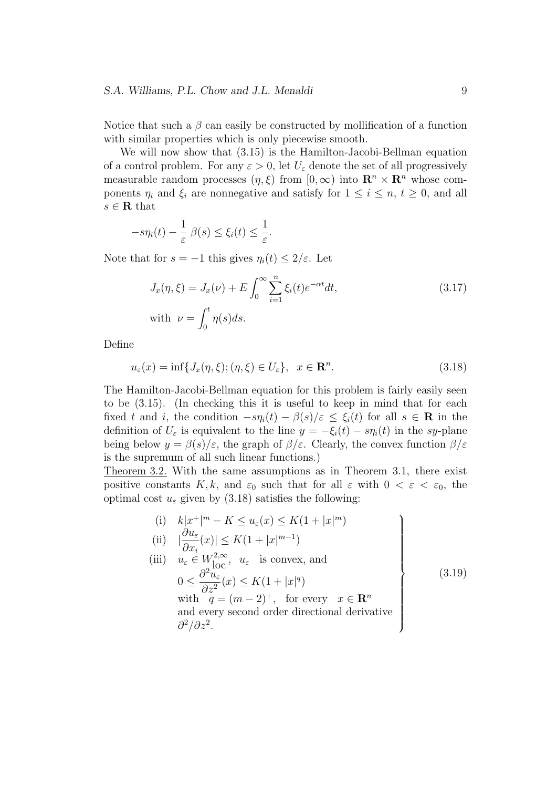Notice that such a  $\beta$  can easily be constructed by mollification of a function with similar properties which is only piecewise smooth.

We will now show that (3.15) is the Hamilton-Jacobi-Bellman equation of a control problem. For any  $\varepsilon > 0$ , let  $U_{\varepsilon}$  denote the set of all progressively measurable random processes  $(\eta, \xi)$  from  $[0, \infty)$  into  $\mathbb{R}^n \times \mathbb{R}^n$  whose components  $\eta_i$  and  $\xi_i$  are nonnegative and satisfy for  $1 \leq i \leq n$ ,  $t \geq 0$ , and all *s ∈* **R** that

$$
-s\eta_i(t) - \frac{1}{\varepsilon} \beta(s) \le \xi_i(t) \le \frac{1}{\varepsilon}.
$$

Note that for  $s = -1$  this gives  $\eta_i(t) \leq 2/\varepsilon$ . Let

$$
J_x(\eta, \xi) = J_x(\nu) + E \int_0^\infty \sum_{i=1}^n \xi_i(t) e^{-\alpha t} dt,
$$
  
\nwith  $\nu = \int_0^t \eta(s) ds.$  (3.17)

Define

$$
u_{\varepsilon}(x) = \inf\{J_x(\eta,\xi); (\eta,\xi) \in U_{\varepsilon}\}, \quad x \in \mathbf{R}^n. \tag{3.18}
$$

The Hamilton-Jacobi-Bellman equation for this problem is fairly easily seen to be (3.15). (In checking this it is useful to keep in mind that for each fixed *t* and *i*, the condition  $-s\eta_i(t) - \beta(s)/\varepsilon \leq \xi_i(t)$  for all  $s \in \mathbf{R}$  in the definition of  $U_{\varepsilon}$  is equivalent to the line  $y = -\xi_i(t) - s\eta_i(t)$  in the *sy*-plane being below  $y = \beta(s)/\varepsilon$ , the graph of  $\beta/\varepsilon$ . Clearly, the convex function  $\beta/\varepsilon$ is the supremum of all such linear functions.)

Theorem 3.2. With the same assumptions as in Theorem 3.1, there exist positive constants  $K, k$ , and  $\varepsilon_0$  such that for all  $\varepsilon$  with  $0 < \varepsilon < \varepsilon_0$ , the optimal cost  $u_{\varepsilon}$  given by (3.18) satisfies the following:

(i) 
$$
k|x^+|^m - K \le u_{\varepsilon}(x) \le K(1+|x|^m)
$$
  
\n(ii)  $|\frac{\partial u_{\varepsilon}}{\partial x_i}(x)| \le K(1+|x|^{m-1})$   
\n(iii)  $u_{\varepsilon} \in W_{\text{loc}}^{2,\infty}$ ,  $u_{\varepsilon}$  is convex, and  
\n $0 \le \frac{\partial^2 u_{\varepsilon}}{\partial z^2}(x) \le K(1+|x|^q)$   
\nwith  $q = (m-2)^+$ , for every  $x \in \mathbb{R}^n$   
\nand every second order directional derivative  
\n $\frac{\partial^2}{\partial z^2}$ . (3.19)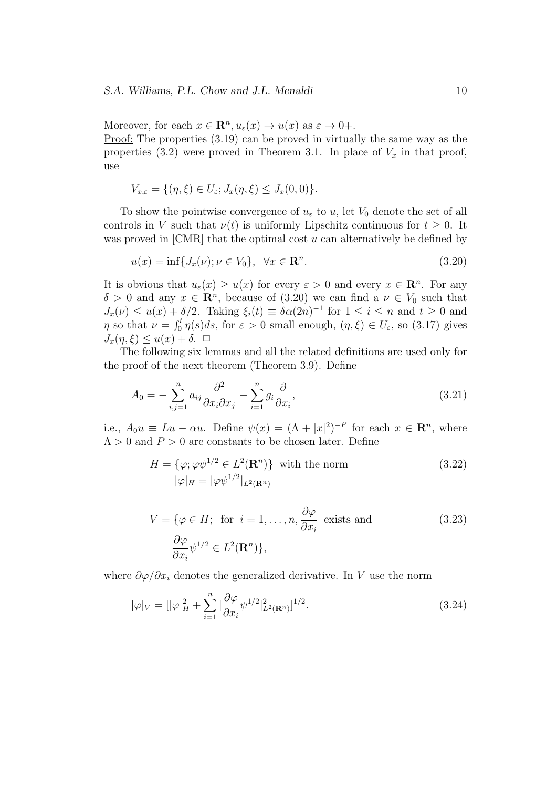Moreover, for each  $x \in \mathbb{R}^n, u_\varepsilon(x) \to u(x)$  as  $\varepsilon \to 0+$ . Proof: The properties  $(3.19)$  can be proved in virtually the same way as the properties  $(3.2)$  were proved in Theorem 3.1. In place of  $V_x$  in that proof, use

$$
V_{x,\varepsilon} = \{ (\eta,\xi) \in U_{\varepsilon}; J_x(\eta,\xi) \le J_x(0,0) \}.
$$

To show the pointwise convergence of  $u_{\varepsilon}$  to  $u$ , let  $V_0$  denote the set of all controls in *V* such that  $\nu(t)$  is uniformly Lipschitz continuous for  $t \geq 0$ . It was proved in [CMR] that the optimal cost *u* can alternatively be defined by

$$
u(x) = \inf\{J_x(\nu); \nu \in V_0\}, \quad \forall x \in \mathbf{R}^n. \tag{3.20}
$$

It is obvious that  $u_{\varepsilon}(x) \geq u(x)$  for every  $\varepsilon > 0$  and every  $x \in \mathbb{R}^n$ . For any  $\delta > 0$  and any  $x \in \mathbb{R}^n$ , because of (3.20) we can find a  $\nu \in V_0$  such that  $J_x(\nu) \le u(x) + \delta/2$ . Taking  $\xi_i(t) \equiv \delta\alpha(2n)^{-1}$  for  $1 \le i \le n$  and  $t \ge 0$  and *η* so that  $\nu = \int_0^t \eta(s)ds$ , for  $\varepsilon > 0$  small enough,  $(\eta, \xi) \in U_{\varepsilon}$ , so (3.17) gives  $J_x(\eta, \xi) \leq u(x) + \delta$ .  $\Box$ 

The following six lemmas and all the related definitions are used only for the proof of the next theorem (Theorem 3.9). Define

$$
A_0 = -\sum_{i,j=1}^n a_{ij} \frac{\partial^2}{\partial x_i \partial x_j} - \sum_{i=1}^n g_i \frac{\partial}{\partial x_i},\tag{3.21}
$$

i.e.,  $A_0u \equiv Lu - \alpha u$ . Define  $\psi(x) = (\Lambda + |x|^2)^{-P}$  for each  $x \in \mathbb{R}^n$ , where  $\Lambda > 0$  and  $P > 0$  are constants to be chosen later. Define

$$
H = \{\varphi; \varphi \psi^{1/2} \in L^{2}(\mathbf{R}^{n})\} \text{ with the norm}
$$
  

$$
|\varphi|_{H} = |\varphi \psi^{1/2}|_{L^{2}(\mathbf{R}^{n})}
$$
 (3.22)

$$
V = \{ \varphi \in H; \text{ for } i = 1, ..., n, \frac{\partial \varphi}{\partial x_i} \text{ exists and}
$$
\n
$$
\frac{\partial \varphi}{\partial x_i} \psi^{1/2} \in L^2(\mathbf{R}^n) \},
$$
\n(3.23)

where  $\partial \varphi / \partial x_i$  denotes the generalized derivative. In *V* use the norm

$$
|\varphi|_{V} = [|\varphi|_{H}^{2} + \sum_{i=1}^{n} |\frac{\partial \varphi}{\partial x_{i}} \psi^{1/2}|_{L^{2}(\mathbf{R}^{n})}^{2}]^{1/2}.
$$
\n(3.24)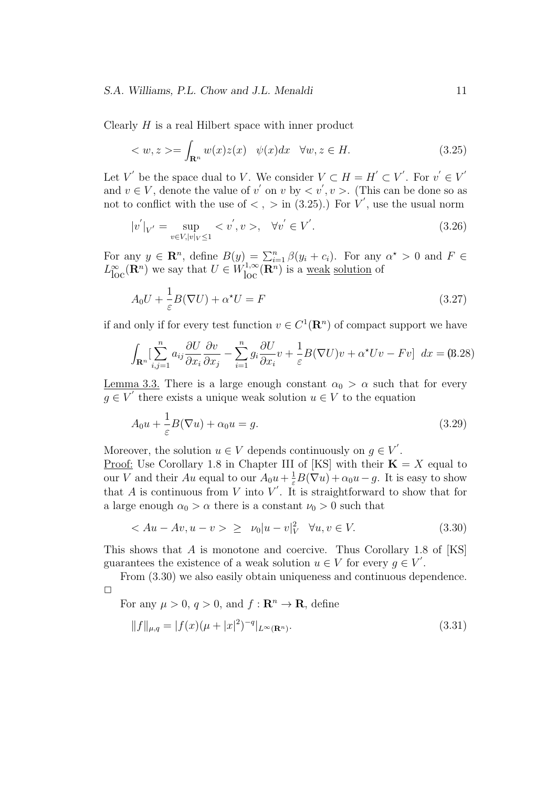#### *S.A. Williams, P.L. Chow and J.L. Menaldi* 11

Clearly *H* is a real Hilbert space with inner product

$$
\langle w, z \rangle = \int_{\mathbf{R}^n} w(x) z(x) \quad \psi(x) dx \quad \forall w, z \in H. \tag{3.25}
$$

Let *V* be the space dual to *V*. We consider  $V \subset H = H' \subset V'$ . For  $v' \in V'$ and  $v \in V$ , denote the value of  $v'$  on  $v$  by  $\langle v', v \rangle$ . (This can be done so as not to conflict with the use of  $\langle , \rangle$  in (3.25).) For *V'*, use the usual norm

$$
|v'|_{V'} = \sup_{v \in V, |v|_V \le 1} \langle v', v \rangle, \quad \forall v' \in V'. \tag{3.26}
$$

For any  $y \in \mathbb{R}^n$ , define  $B(y) = \sum_{i=1}^n \beta(y_i + c_i)$ . For any  $\alpha^* > 0$  and  $F \in$  $L^{\infty}_{\text{loc}}(\mathbf{R}^n)$  we say that  $U \in W^{1,\infty}_{\text{loc}}(\mathbf{R}^n)$  is a <u>weak solution</u> of

$$
A_0 U + \frac{1}{\varepsilon} B(\nabla U) + \alpha^* U = F \tag{3.27}
$$

if and only if for every test function  $v \in C^1(\mathbf{R}^n)$  of compact support we have

$$
\int_{\mathbf{R}^n} \left[ \sum_{i,j=1}^n a_{ij} \frac{\partial U}{\partial x_i} \frac{\partial v}{\partial x_j} - \sum_{i=1}^n g_i \frac{\partial U}{\partial x_i} v + \frac{1}{\varepsilon} B(\nabla U) v + \alpha^* U v - F v \right] dx = (8.28)
$$

<u>Lemma 3.3.</u> There is a large enough constant  $\alpha_0 > \alpha$  such that for every  $g \in V'$  there exists a unique weak solution  $u \in V$  to the equation

$$
A_0 u + \frac{1}{\varepsilon} B(\nabla u) + \alpha_0 u = g.
$$
\n(3.29)

Moreover, the solution  $u \in V$  depends continuously on  $g \in V'$ .

<u>Proof:</u> Use Corollary 1.8 in Chapter III of [KS] with their  $\mathbf{K} = X$  equal to our *V* and their *Au* equal to our  $A_0u + \frac{1}{\varepsilon}B(\nabla u) + \alpha_0u - g$ . It is easy to show that *A* is continuous from *V* into *V'*. It is straightforward to show that for a large enough  $\alpha_0 > \alpha$  there is a constant  $\nu_0 > 0$  such that

$$
\langle Au - Av, u - v \rangle \geq \nu_0 |u - v|_V^2 \quad \forall u, v \in V. \tag{3.30}
$$

This shows that *A* is monotone and coercive. Thus Corollary 1.8 of [KS] guarantees the existence of a weak solution  $u \in V$  for every  $g \in V'$ .

From (3.30) we also easily obtain uniqueness and continuous dependence.  $\Box$ 

For any  $\mu > 0$ ,  $q > 0$ , and  $f: \mathbb{R}^n \to \mathbb{R}$ , define

$$
||f||_{\mu,q} = |f(x)(\mu + |x|^2)^{-q}|_{L^{\infty}(\mathbf{R}^n)}.
$$
\n(3.31)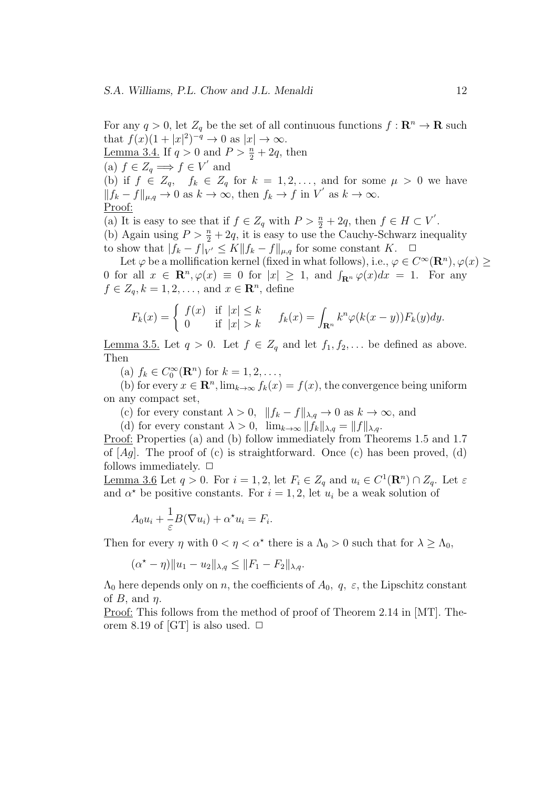For any  $q > 0$ , let  $Z_q$  be the set of all continuous functions  $f: \mathbb{R}^n \to \mathbb{R}$  such that  $f(x)(1+|x|^2)^{-q} \to 0$  as  $|x| \to \infty$ . Lemma 3.4. If  $q > 0$  and  $P > \frac{n}{2} + 2q$ , then  $f \in Z_q \Longrightarrow f \in V'$  and (b) if  $f \in Z_q$ ,  $f_k \in Z_q$  for  $k = 1, 2, \ldots$ , and for some  $\mu > 0$  we have  $||f_k - f||_{\mu,q}$  → 0 as  $k \to \infty$ , then  $f_k \to f$  in  $V'$  as  $k \to \infty$ . Proof: (a) It is easy to see that if  $f \in Z_q$  with  $P > \frac{n}{2} + 2q$ , then  $f \in H \subset V'$ .

(b) Again using  $P > \frac{n}{2} + 2q$ , it is easy to use the Cauchy-Schwarz inequality to show that  $|f_k - f|_{V'} \leq K ||f_k - f||_{\mu,q}$  for some constant  $K$ .  $\Box$ 

Let  $\varphi$  be a mollification kernel (fixed in what follows), i.e.,  $\varphi \in C^{\infty}(\mathbb{R}^n)$ ,  $\varphi(x) \geq$ 0 for all  $x \in \mathbb{R}^n$ ,  $\varphi(x) \equiv 0$  for  $|x| \ge 1$ , and  $\int_{\mathbb{R}^n} \varphi(x) dx = 1$ . For any  $f \in Z_q, k = 1, 2, \ldots$ , and  $x \in \mathbb{R}^n$ , define

$$
F_k(x) = \begin{cases} f(x) & \text{if } |x| \le k \\ 0 & \text{if } |x| > k \end{cases} \quad f_k(x) = \int_{\mathbf{R}^n} k^n \varphi(k(x - y)) F_k(y) dy.
$$

<u>Lemma 3.5.</u> Let  $q > 0$ . Let  $f \in Z_q$  and let  $f_1, f_2, \ldots$  be defined as above. Then

(a)  $f_k \in C_0^{\infty}(\mathbf{R}^n)$  for  $k = 1, 2, ...,$ 

(b) for every  $x \in \mathbb{R}^n$ ,  $\lim_{k \to \infty} f_k(x) = f(x)$ , the convergence being uniform on any compact set,

(c) for every constant  $\lambda > 0$ ,  $||f_k - f||_{\lambda,q} \to 0$  as  $k \to \infty$ , and

(d) for every constant  $\lambda > 0$ ,  $\lim_{k \to \infty} ||f_k||_{\lambda,q} = ||f||_{\lambda,q}$ .

Proof: Properties (a) and (b) follow immediately from Theorems 1.5 and 1.7 of  $[Aq]$ . The proof of (c) is straightforward. Once (c) has been proved, (d) follows immediately.  $\Box$ 

Lemma 3.6 Let  $q > 0$ . For  $i = 1, 2$ , let  $F_i \in Z_q$  and  $u_i \in C^1(\mathbf{R}^n) \cap Z_q$ . Let  $\varepsilon$ and  $\alpha^*$  be positive constants. For  $i = 1, 2$ , let  $u_i$  be a weak solution of

$$
A_0 u_i + \frac{1}{\varepsilon} B(\nabla u_i) + \alpha^* u_i = F_i.
$$

Then for every  $\eta$  with  $0 < \eta < \alpha^*$  there is a  $\Lambda_0 > 0$  such that for  $\lambda \geq \Lambda_0$ ,

$$
(\alpha^* - \eta) \|u_1 - u_2\|_{\lambda, q} \le \|F_1 - F_2\|_{\lambda, q}.
$$

 $\Lambda_0$  here depends only on *n*, the coefficients of  $A_0$ , q,  $\varepsilon$ , the Lipschitz constant of *B*, and *η*.

Proof: This follows from the method of proof of Theorem 2.14 in [MT]. Theorem 8.19 of [GT] is also used.  $\Box$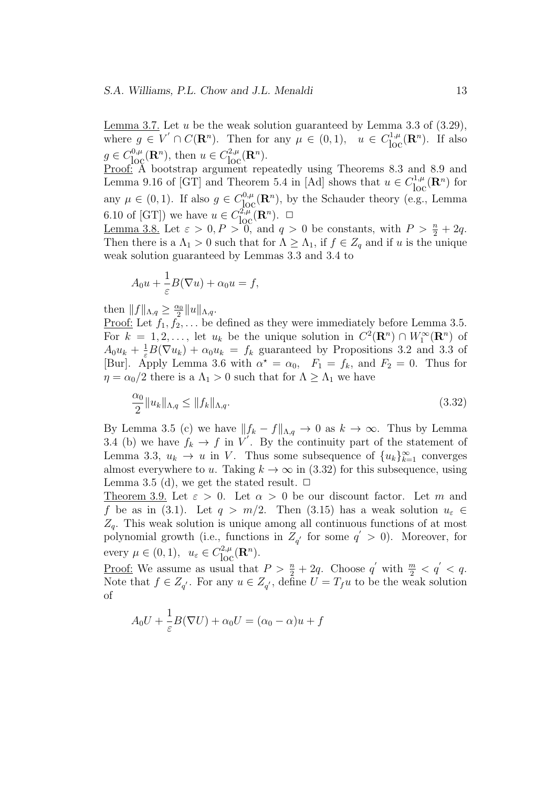Lemma 3.7. Let *u* be the weak solution guaranteed by Lemma 3.3 of (3.29), where  $g \in V' \cap C(\mathbf{R}^n)$ . Then for any  $\mu \in (0,1)$ ,  $u \in C^{1,\mu}_{loc}(\mathbf{R}^n)$ . If also  $g \in C^{0,\mu}_{\text{loc}}(\mathbb{R}^n)$ , then  $u \in C^{2,\mu}_{\text{loc}}(\mathbb{R}^n)$ .

Proof: A bootstrap argument repeatedly using Theorems 8.3 and 8.9 and Lemma 9.16 of [GT] and Theorem 5.4 in [Ad] shows that  $u \in C_{loc}^{1,\mu}(\mathbf{R}^n)$  for any  $\mu \in (0, 1)$ . If also  $g \in C^{0,\mu}_{loc}(\mathbf{R}^n)$ , by the Schauder theory (e.g., Lemma 6.10 of  $[GT]$ ) we have  $u \in C^{2,\mu}_{loc}(\mathbf{R}^n)$ .  $\Box$ 

<u>Lemma 3.8.</u> Let  $\varepsilon > 0, P > 0$ , and  $q > 0$  be constants, with  $P > \frac{n}{2} + 2q$ . Then there is a  $\Lambda_1 > 0$  such that for  $\Lambda \geq \Lambda_1$ , if  $f \in Z_q$  and if *u* is the unique weak solution guaranteed by Lemmas 3.3 and 3.4 to

$$
A_0 u + \frac{1}{\varepsilon} B(\nabla u) + \alpha_0 u = f,
$$

then  $||f||_{\Lambda,q} \geq \frac{\alpha_0}{2}$  $\frac{\alpha_0}{2}$  $\|u\|_{\Lambda,q}$ .

<u>Proof:</u> Let  $f_1, f_2, \ldots$  be defined as they were immediately before Lemma 3.5. For  $k = 1, 2, \ldots$ , let  $u_k$  be the unique solution in  $C^2(\mathbf{R}^n) \cap W_1^{\infty}(\mathbf{R}^n)$  of  $A_0 u_k + \frac{1}{\varepsilon} B(\nabla u_k) + \alpha_0 u_k = f_k$  guaranteed by Propositions 3.2 and 3.3 of [Bur]. Apply Lemma 3.6 with  $\alpha^* = \alpha_0$ ,  $F_1 = f_k$ , and  $F_2 = 0$ . Thus for *η* =  $\alpha_0/2$  there is a  $\Lambda_1 > 0$  such that for  $\Lambda \geq \Lambda_1$  we have

$$
\frac{\alpha_0}{2} \|u_k\|_{\Lambda, q} \le \|f_k\|_{\Lambda, q}.\tag{3.32}
$$

By Lemma 3.5 (c) we have  $||f_k - f||_{\Lambda,q} \to 0$  as  $k \to \infty$ . Thus by Lemma 3.4 (b) we have  $f_k \to f$  in  $V'$ . By the continuity part of the statement of Lemma 3.3,  $u_k \to u$  in *V*. Thus some subsequence of  $\{u_k\}_{k=1}^{\infty}$  converges almost everywhere to *u*. Taking  $k \to \infty$  in (3.32) for this subsequence, using Lemma 3.5 (d), we get the stated result.  $\Box$ 

Theorem 3.9. Let  $\varepsilon > 0$ . Let  $\alpha > 0$  be our discount factor. Let m and *f* be as in (3.1). Let  $q > m/2$ . Then (3.15) has a weak solution  $u_{\varepsilon} \in$ *Zq*. This weak solution is unique among all continuous functions of at most polynomial growth (i.e., functions in  $Z_{q'}$  for some  $q' > 0$ ). Moreover, for every  $\mu \in (0, 1)$ ,  $u_{\varepsilon} \in C_{\text{loc}}^{2,\mu}(\mathbf{R}^n)$ .

<u>Proof:</u> We assume as usual that  $P > \frac{n}{2} + 2q$ . Choose  $q'$  with  $\frac{m}{2} < q' < q$ . Note that  $f \in Z_{q'}$ . For any  $u \in Z_{q'}$ , define  $U = T_f u$  to be the weak solution of

$$
A_0U + \frac{1}{\varepsilon}B(\nabla U) + \alpha_0 U = (\alpha_0 - \alpha)u + f
$$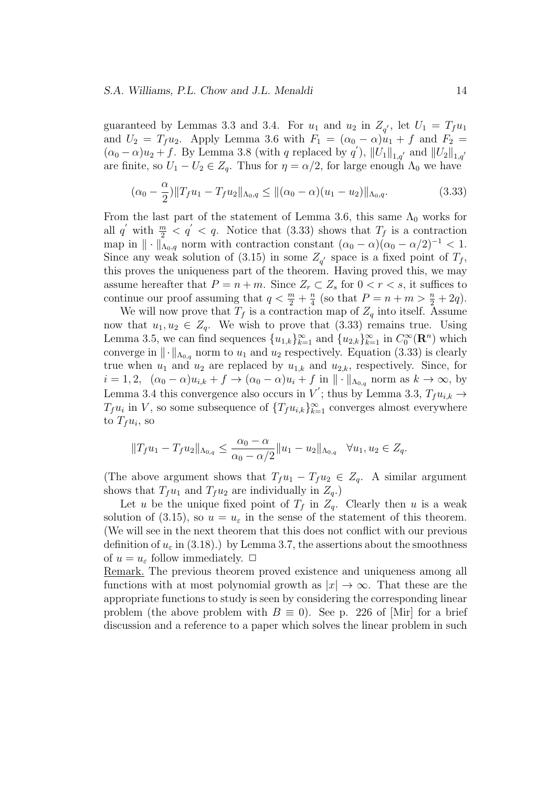guaranteed by Lemmas 3.3 and 3.4. For  $u_1$  and  $u_2$  in  $Z_{q'}$ , let  $U_1 = T_f u_1$ and  $U_2 = T_f u_2$ . Apply Lemma 3.6 with  $F_1 = (\alpha_0 - \alpha)u_1 + f$  and  $F_2 =$  $(\alpha_0 - \alpha)u_2 + f$ . By Lemma 3.8 (with *q* replaced by *q*<sup>'</sup>),  $||U_1||_{1,q'}$  and  $||U_2||_{1,q'}$ are finite, so  $U_1 - U_2 \in Z_q$ . Thus for  $\eta = \alpha/2$ , for large enough  $\Lambda_0$  we have

$$
(\alpha_0 - \frac{\alpha}{2}) \|T_f u_1 - T_f u_2\|_{\Lambda_0, q} \le \|(\alpha_0 - \alpha)(u_1 - u_2)\|_{\Lambda_0, q}.
$$
\n(3.33)

From the last part of the statement of Lemma 3.6, this same  $\Lambda_0$  works for all  $q'$  with  $\frac{m}{2} < q' < q$ . Notice that (3.33) shows that  $T_f$  is a contraction map in  $\|\cdot\|_{\Lambda_{0},q}$  norm with contraction constant  $(\alpha_{0} - \alpha)(\alpha_{0} - \alpha/2)^{-1} < 1$ . Since any weak solution of (3.15) in some  $Z_{q'}$  space is a fixed point of  $T_f$ , this proves the uniqueness part of the theorem. Having proved this, we may assume hereafter that  $P = n + m$ . Since  $Z_r \subset Z_s$  for  $0 < r < s$ , it suffices to continue our proof assuming that  $q < \frac{m}{2} + \frac{n}{4}$  $\frac{n}{4}$  (so that  $P = n + m > \frac{n}{2} + 2q$ ).

We will now prove that  $T_f$  is a contraction map of  $Z_q$  into itself. Assume now that  $u_1, u_2 \in Z_q$ . We wish to prove that (3.33) remains true. Using Lemma 3.5, we can find sequences  $\{u_{1,k}\}_{k=1}^{\infty}$  and  $\{u_{2,k}\}_{k=1}^{\infty}$  in  $C_0^{\infty}(\mathbf{R}^n)$  which converge in  $\|\cdot\|_{\Lambda_{0,q}}$  norm to  $u_1$  and  $u_2$  respectively. Equation (3.33) is clearly true when  $u_1$  and  $u_2$  are replaced by  $u_{1,k}$  and  $u_{2,k}$ , respectively. Since, for  $i = 1, 2, \quad (\alpha_0 - \alpha)u_{i,k} + f \to (\alpha_0 - \alpha)u_i + f$  in  $\|\cdot\|_{\Lambda_{0,q}}$  norm as  $k \to \infty$ , by Lemma 3.4 this convergence also occurs in *V*<sup>'</sup>; thus by Lemma 3.3,  $T_f u_{i,k} \rightarrow$ *T*<sup>*f*</sup>*u*<sup>*i*</sup> in *V*, so some subsequence of  $\{T_f u_{i,k}\}_{k=1}^\infty$  converges almost everywhere to  $T_f u_i$ , so

$$
||T_{f}u_{1}-T_{f}u_{2}||_{\Lambda_{0,q}} \leq \frac{\alpha_{0}-\alpha}{\alpha_{0}-\alpha/2}||u_{1}-u_{2}||_{\Lambda_{0,q}} \quad \forall u_{1}, u_{2} \in Z_{q}.
$$

(The above argument shows that  $T_f u_1 - T_f u_2 \in Z_q$ . A similar argument shows that  $T_f u_1$  and  $T_f u_2$  are individually in  $Z_q$ .)

Let *u* be the unique fixed point of  $T_f$  in  $Z_q$ . Clearly then *u* is a weak solution of (3.15), so  $u = u_{\varepsilon}$  in the sense of the statement of this theorem. (We will see in the next theorem that this does not conflict with our previous definition of  $u_{\varepsilon}$  in (3.18).) by Lemma 3.7, the assertions about the smoothness of  $u = u_{\varepsilon}$  follow immediately.  $\Box$ 

Remark. The previous theorem proved existence and uniqueness among all functions with at most polynomial growth as  $|x| \to \infty$ . That these are the appropriate functions to study is seen by considering the corresponding linear problem (the above problem with  $B \equiv 0$ ). See p. 226 of [Mir] for a brief discussion and a reference to a paper which solves the linear problem in such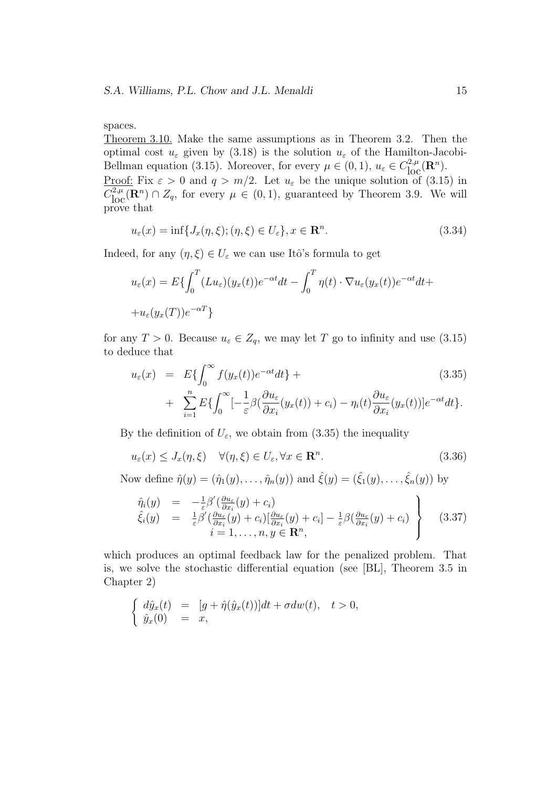#### spaces.

Theorem 3.10. Make the same assumptions as in Theorem 3.2. Then the optimal cost  $u_{\varepsilon}$  given by (3.18) is the solution  $u_{\varepsilon}$  of the Hamilton-Jacobi-Bellman equation (3.15). Moreover, for every  $\mu \in (0,1)$ ,  $u_{\varepsilon} \in C_{\text{loc}}^{2,\mu}(\mathbb{R}^n)$ . Proof: Fix  $\varepsilon > 0$  and  $q > m/2$ . Let  $u_{\varepsilon}$  be the unique solution of (3.15) in  $C^{2,\mu}_{loc}(\mathbf{R}^n) \cap Z_q$ , for every  $\mu \in (0,1)$ , guaranteed by Theorem 3.9. We will prove that

$$
u_{\varepsilon}(x) = \inf\{J_x(\eta,\xi); (\eta,\xi) \in U_{\varepsilon}\}, x \in \mathbf{R}^n. \tag{3.34}
$$

Indeed, for any  $(\eta, \xi) \in U_{\varepsilon}$  we can use Itô's formula to get

$$
u_{\varepsilon}(x) = E\{\int_0^T (Lu_{\varepsilon})(y_x(t))e^{-\alpha t}dt - \int_0^T \eta(t) \cdot \nabla u_{\varepsilon}(y_x(t))e^{-\alpha t}dt +
$$
  
+ 
$$
+u_{\varepsilon}(y_x(T))e^{-\alpha T}\}
$$

for any  $T > 0$ . Because  $u_{\varepsilon} \in Z_q$ , we may let *T* go to infinity and use (3.15) to deduce that

$$
u_{\varepsilon}(x) = E\{\int_0^{\infty} f(y_x(t))e^{-\alpha t}dt\} +
$$
\n
$$
+ \sum_{k=1}^n E\{\int_0^{\infty} [-\frac{1}{\alpha\beta}(\frac{\partial u_{\varepsilon}}{\partial (y_{\varepsilon}(t))} + c) - \frac{n}{\alpha\beta}(t)\frac{\partial u_{\varepsilon}}{\partial (y_{\varepsilon}(t))}]e^{-\alpha t}dt\}
$$
\n(3.35)

+ 
$$
\sum_{i=1} E\{\int_0^{\infty}[-\frac{1}{\varepsilon}\beta(\frac{\partial u_{\varepsilon}}{\partial x_i}(y_x(t)) + c_i) - \eta_i(t)\frac{\partial u_{\varepsilon}}{\partial x_i}(y_x(t))]e^{-\alpha t}dt\}.
$$

By the definition of  $U_{\varepsilon}$ , we obtain from (3.35) the inequality

$$
u_{\varepsilon}(x) \le J_x(\eta, \xi) \quad \forall (\eta, \xi) \in U_{\varepsilon}, \forall x \in \mathbf{R}^n. \tag{3.36}
$$

Now define  $\hat{\eta}(y) = (\hat{\eta}_1(y), \dots, \hat{\eta}_n(y))$  and  $\hat{\xi}(y) = (\hat{\xi}_1(y), \dots, \hat{\xi}_n(y))$  by

$$
\hat{\eta}_i(y) = -\frac{1}{\varepsilon} \beta' \left( \frac{\partial u_\varepsilon}{\partial x_i}(y) + c_i \right) \n\hat{\xi}_i(y) = \frac{1}{\varepsilon} \beta' \left( \frac{\partial u_\varepsilon}{\partial x_i}(y) + c_i \right) \left[ \frac{\partial u_\varepsilon}{\partial x_i}(y) + c_i \right] - \frac{1}{\varepsilon} \beta \left( \frac{\partial u_\varepsilon}{\partial x_i}(y) + c_i \right) \n i = 1, ..., n, y \in \mathbb{R}^n,
$$
\n(3.37)

which produces an optimal feedback law for the penalized problem. That is, we solve the stochastic differential equation (see [BL], Theorem 3.5 in Chapter 2)

$$
\begin{cases} d\hat{y}_x(t) = [g + \hat{\eta}(\hat{y}_x(t))]dt + \sigma dw(t), \quad t > 0, \\ \hat{y}_x(0) = x, \end{cases}
$$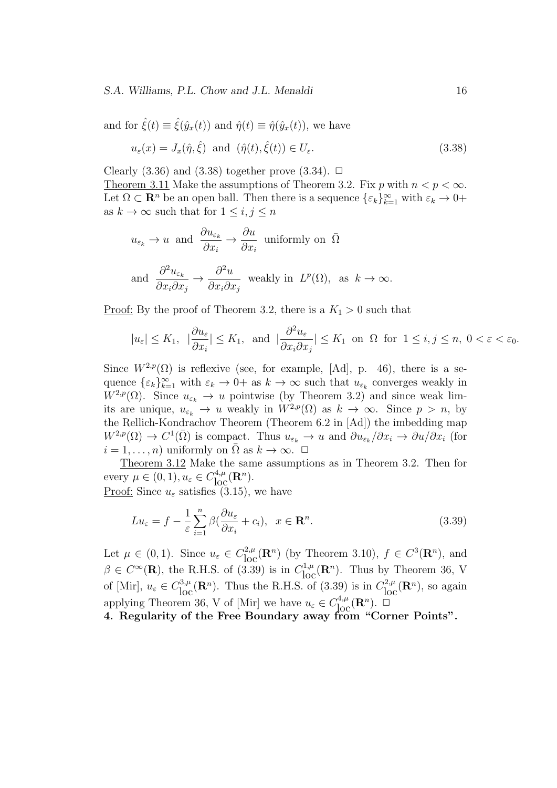and for  $\hat{\xi}(t) \equiv \hat{\xi}(\hat{y}_x(t))$  and  $\hat{\eta}(t) \equiv \hat{\eta}(\hat{y}_x(t))$ , we have

$$
u_{\varepsilon}(x) = J_x(\hat{\eta}, \hat{\xi}) \text{ and } (\hat{\eta}(t), \hat{\xi}(t)) \in U_{\varepsilon}.
$$
\n(3.38)

Clearly  $(3.36)$  and  $(3.38)$  together prove  $(3.34)$ .  $\Box$ Theorem 3.11 Make the assumptions of Theorem 3.2. Fix *p* with  $n < p < \infty$ . Let  $\Omega \subset \mathbb{R}^n$  be an open ball. Then there is a sequence  $\{\varepsilon_k\}_{k=1}^\infty$  with  $\varepsilon_k \to 0+$ as  $k \to \infty$  such that for  $1 \leq i, j \leq n$ 

$$
u_{\varepsilon_k} \to u
$$
 and  $\frac{\partial u_{\varepsilon_k}}{\partial x_i} \to \frac{\partial u}{\partial x_i}$  uniformly on  $\overline{\Omega}$   
and  $\frac{\partial^2 u_{\varepsilon_k}}{\partial x_i \partial x_j} \to \frac{\partial^2 u}{\partial x_i \partial x_j}$  weakly in  $L^p(\Omega)$ , as  $k \to \infty$ .

<u>Proof:</u> By the proof of Theorem 3.2, there is a  $K_1 > 0$  such that

$$
|u_{\varepsilon}| \le K_1
$$
,  $|\frac{\partial u_{\varepsilon}}{\partial x_i}| \le K_1$ , and  $|\frac{\partial^2 u_{\varepsilon}}{\partial x_i \partial x_j}| \le K_1$  on  $\Omega$  for  $1 \le i, j \le n$ ,  $0 < \varepsilon < \varepsilon_0$ .

Since  $W^{2,p}(\Omega)$  is reflexive (see, for example, [Ad], p. 46), there is a sequence  $\{\varepsilon_k\}_{k=1}^{\infty}$  with  $\varepsilon_k \to 0$  + as  $k \to \infty$  such that  $u_{\varepsilon_k}$  converges weakly in  $W^{2,p}(\Omega)$ . Since  $u_{\varepsilon_k} \to u$  pointwise (by Theorem 3.2) and since weak limits are unique,  $u_{\varepsilon_k} \to u$  weakly in  $W^{2,p}(\Omega)$  as  $k \to \infty$ . Since  $p > n$ , by the Rellich-Kondrachov Theorem (Theorem 6.2 in [Ad]) the imbedding map  $W^{2,p}(\Omega) \to C^1(\overline{\Omega})$  is compact. Thus  $u_{\varepsilon_k} \to u$  and  $\partial u_{\varepsilon_k}/\partial x_i \to \partial u/\partial x_i$  (for  $i = 1, \ldots, n$  uniformly on  $\overline{\Omega}$  as  $k \to \infty$ .  $\Box$ 

Theorem 3.12 Make the same assumptions as in Theorem 3.2. Then for  $\text{every } \mu \in (0, 1), u_{\varepsilon} \in C_{\text{loc}}^{4,\mu}(\mathbf{R}^n).$ 

Proof: Since  $u_{\varepsilon}$  satisfies (3.15), we have

$$
Lu_{\varepsilon} = f - \frac{1}{\varepsilon} \sum_{i=1}^{n} \beta \left( \frac{\partial u_{\varepsilon}}{\partial x_{i}} + c_{i} \right), \quad x \in \mathbf{R}^{n}.
$$
\n(3.39)

Let  $\mu \in (0,1)$ . Since  $u_{\varepsilon} \in C_{\text{loc}}^{2,\mu}(\mathbf{R}^n)$  (by Theorem 3.10),  $f \in C^3(\mathbf{R}^n)$ , and  $\beta \in C^{\infty}(\mathbf{R})$ , the R.H.S. of (3.39) is in  $C^{1,\mu}_{\text{loc}}(\mathbf{R}^n)$ . Thus by Theorem 36, V of [Mir],  $u_{\varepsilon} \in C_{\text{loc}}^{3,\mu}(\mathbf{R}^n)$ . Thus the R.H.S. of (3.39) is in  $C_{\text{loc}}^{2,\mu}(\mathbf{R}^n)$ , so again applying Theorem 36, V of [Mir] we have  $u_{\varepsilon} \in C_{\text{loc}}^{4,\mu}(\mathbf{R}^n)$ .  $\Box$ 

**4. Regularity of the Free Boundary away from "Corner Points".**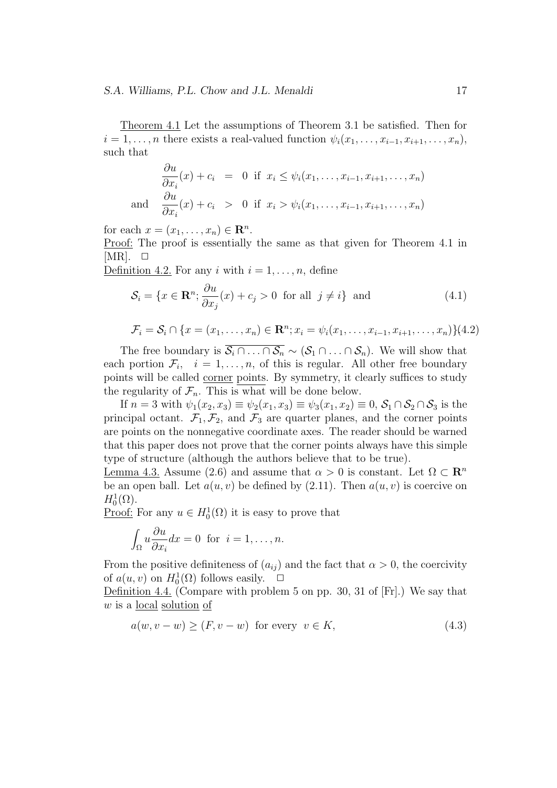Theorem 4.1 Let the assumptions of Theorem 3.1 be satisfied. Then for  $i = 1, \ldots, n$  there exists a real-valued function  $\psi_i(x_1, \ldots, x_{i-1}, x_{i+1}, \ldots, x_n)$ , such that

$$
\frac{\partial u}{\partial x_i}(x) + c_i = 0 \text{ if } x_i \le \psi_i(x_1, \dots, x_{i-1}, x_{i+1}, \dots, x_n)
$$
  
and 
$$
\frac{\partial u}{\partial x_i}(x) + c_i > 0 \text{ if } x_i > \psi_i(x_1, \dots, x_{i-1}, x_{i+1}, \dots, x_n)
$$

for each  $x = (x_1, \ldots, x_n) \in \mathbb{R}^n$ .

Proof: The proof is essentially the same as that given for Theorem 4.1 in  $[MR]$ .  $\Box$ 

Definition 4.2. For any *i* with  $i = 1, \ldots, n$ , define

$$
S_i = \{x \in \mathbf{R}^n; \frac{\partial u}{\partial x_j}(x) + c_j > 0 \text{ for all } j \neq i\} \text{ and } (4.1)
$$

$$
\mathcal{F}_i = \mathcal{S}_i \cap \{x = (x_1, \dots, x_n) \in \mathbf{R}^n; x_i = \psi_i(x_1, \dots, x_{i-1}, x_{i+1}, \dots, x_n)\}(4.2)
$$

The free boundary is  $\overline{\mathcal{S}_i \cap \ldots \cap \mathcal{S}_n} \sim (\mathcal{S}_1 \cap \ldots \cap \mathcal{S}_n)$ . We will show that each portion  $\mathcal{F}_i$ ,  $i = 1, \ldots, n$ , of this is regular. All other free boundary points will be called corner points. By symmetry, it clearly suffices to study the regularity of  $\mathcal{F}_n$ . This is what will be done below.

If  $n = 3$  with  $\psi_1(x_2, x_3) \equiv \psi_2(x_1, x_3) \equiv \psi_3(x_1, x_2) \equiv 0, S_1 \cap S_2 \cap S_3$  is the principal octant.  $\mathcal{F}_1, \mathcal{F}_2$ , and  $\mathcal{F}_3$  are quarter planes, and the corner points are points on the nonnegative coordinate axes. The reader should be warned that this paper does not prove that the corner points always have this simple type of structure (although the authors believe that to be true).

Lemma 4.3. Assume (2.6) and assume that  $\alpha > 0$  is constant. Let  $\Omega \subset \mathbb{R}^n$ be an open ball. Let  $a(u, v)$  be defined by  $(2.11)$ . Then  $a(u, v)$  is coercive on  $H_0^1(\Omega)$ .

<u>Proof:</u> For any  $u \in H_0^1(\Omega)$  it is easy to prove that

$$
\int_{\Omega} u \frac{\partial u}{\partial x_i} dx = 0 \text{ for } i = 1, \dots, n.
$$

From the positive definiteness of  $(a_{ij})$  and the fact that  $\alpha > 0$ , the coercivity of  $a(u, v)$  on  $H_0^1(\Omega)$  follows easily.  $\Box$ 

Definition 4.4. (Compare with problem 5 on pp. 30, 31 of [Fr].) We say that *w* is a local solution of

$$
a(w, v - w) \ge (F, v - w) \text{ for every } v \in K,
$$
\n
$$
(4.3)
$$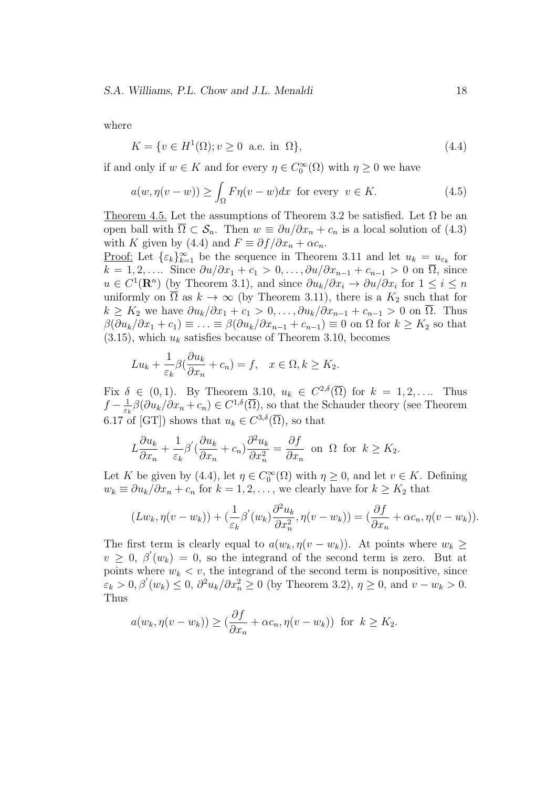where

$$
K = \{ v \in H^1(\Omega) ; v \ge 0 \text{ a.e. in } \Omega \},\tag{4.4}
$$

if and only if  $w \in K$  and for every  $\eta \in C_0^{\infty}(\Omega)$  with  $\eta \geq 0$  we have

$$
a(w, \eta(v - w)) \ge \int_{\Omega} F\eta(v - w)dx \text{ for every } v \in K. \tag{4.5}
$$

Theorem 4.5. Let the assumptions of Theorem 3.2 be satisfied. Let  $\Omega$  be an open ball with  $\overline{\Omega} \subset \mathcal{S}_n$ . Then  $w \equiv \partial u / \partial x_n + c_n$  is a local solution of (4.3) with *K* given by (4.4) and  $F \equiv \partial f / \partial x_n + \alpha c_n$ .

Proof: Let  $\{\varepsilon_k\}_{k=1}^{\infty}$  be the sequence in Theorem 3.11 and let  $u_k = u_{\varepsilon_k}$  for  $k = 1, 2, \ldots$  Since  $\frac{\partial u}{\partial x_1} + c_1 > 0, \ldots, \frac{\partial u}{\partial x_{n-1}} + c_{n-1} > 0$  on  $\overline{\Omega}$ , since  $u \in C^1(\mathbf{R}^n)$  (by Theorem 3.1), and since  $\partial u_k/\partial x_i \to \partial u/\partial x_i$  for  $1 \leq i \leq n$ uniformly on  $\overline{\Omega}$  as  $k \to \infty$  (by Theorem 3.11), there is a  $K_2$  such that for  $k \geq K_2$  we have  $\partial u_k/\partial x_1 + c_1 > 0, \ldots, \partial u_k/\partial x_{n-1} + c_{n-1} > 0$  on  $\Omega$ . Thus  $\beta(\partial u_k/\partial x_1 + c_1) \equiv \ldots \equiv \beta(\partial u_k/\partial x_{n-1} + c_{n-1}) \equiv 0$  on  $\Omega$  for  $k \geq K_2$  so that  $(3.15)$ , which  $u_k$  satisfies because of Theorem 3.10, becomes

$$
Lu_k + \frac{1}{\varepsilon_k} \beta \left( \frac{\partial u_k}{\partial x_n} + c_n \right) = f, \quad x \in \Omega, k \ge K_2.
$$

Fix  $\delta \in (0,1)$ . By Theorem 3.10,  $u_k \in C^{2,\delta}(\overline{\Omega})$  for  $k = 1,2,...$  Thus  $f - \frac{1}{\varepsilon}$  $\frac{1}{\epsilon_k}$ *β*(*∂u<sub>k</sub>*/*∂x<sub>n</sub>* + *c<sub>n</sub>*)  $\in C^{1,\delta}(\overline{\Omega})$ , so that the Schauder theory (see Theorem 6.17 of [GT]) shows that  $u_k \in C^{3,\delta}(\overline{\Omega})$ , so that

$$
L\frac{\partial u_k}{\partial x_n} + \frac{1}{\varepsilon_k} \beta' \left(\frac{\partial u_k}{\partial x_n} + c_n\right) \frac{\partial^2 u_k}{\partial x_n^2} = \frac{\partial f}{\partial x_n}
$$
 on  $\Omega$  for  $k \ge K_2$ .

Let *K* be given by (4.4), let  $\eta \in C_0^{\infty}(\Omega)$  with  $\eta \ge 0$ , and let  $v \in K$ . Defining  $w_k \equiv \partial u_k / \partial x_n + c_n$  for  $k = 1, 2, \ldots$ , we clearly have for  $k \geq K_2$  that

$$
(Lw_k, \eta(v-w_k)) + (\frac{1}{\varepsilon_k} \beta'(w_k) \frac{\partial^2 u_k}{\partial x_n^2}, \eta(v-w_k)) = (\frac{\partial f}{\partial x_n} + \alpha c_n, \eta(v-w_k)).
$$

The first term is clearly equal to  $a(w_k, \eta(v - w_k))$ . At points where  $w_k \geq$  $v \geq 0$ ,  $\beta'(w_k) = 0$ , so the integrand of the second term is zero. But at points where  $w_k < v$ , the integrand of the second term is nonpositive, since  $\varepsilon_k$  > 0,  $\beta'(w_k) \le 0$ ,  $\partial^2 u_k / \partial x_n^2 \ge 0$  (by Theorem 3.2),  $\eta \ge 0$ , and  $v - w_k > 0$ . Thus

$$
a(w_k, \eta(v - w_k)) \geq (\frac{\partial f}{\partial x_n} + \alpha c_n, \eta(v - w_k))
$$
 for  $k \geq K_2$ .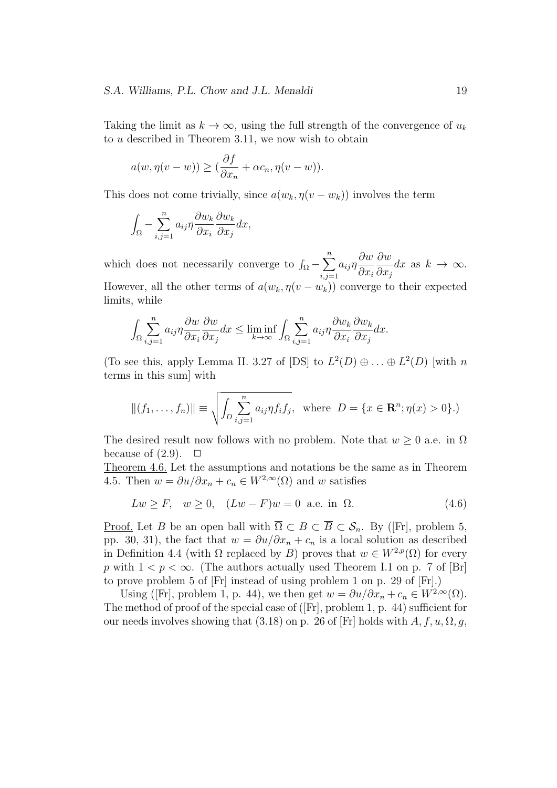Taking the limit as  $k \to \infty$ , using the full strength of the convergence of  $u_k$ to *u* described in Theorem 3.11, we now wish to obtain

$$
a(w, \eta(v - w)) \geq (\frac{\partial f}{\partial x_n} + \alpha c_n, \eta(v - w)).
$$

This does not come trivially, since  $a(w_k, \eta(v - w_k))$  involves the term

$$
\int_{\Omega} -\sum_{i,j=1}^{n} a_{ij} \eta \frac{\partial w_k}{\partial x_i} \frac{\partial w_k}{\partial x_j} dx,
$$

which does not necessarily converge to  $\int_{\Omega} - \sum^{n}$ *i,j*=1 *aijη ∂w ∂x<sup>i</sup> ∂w ∂x<sup>j</sup>*  $dx$  as  $k \to \infty$ . However, all the other terms of  $a(w_k, \eta(v - w_k))$  converge to their expected limits, while

$$
\int_{\Omega} \sum_{i,j=1}^{n} a_{ij} \eta \frac{\partial w}{\partial x_i} \frac{\partial w}{\partial x_j} dx \le \liminf_{k \to \infty} \int_{\Omega} \sum_{i,j=1}^{n} a_{ij} \eta \frac{\partial w_k}{\partial x_i} \frac{\partial w_k}{\partial x_j} dx.
$$

(To see this, apply Lemma II. 3.27 of [DS] to  $L^2(D) \oplus ... \oplus L^2(D)$  [with *n* terms in this sum] with

$$
||(f_1, ..., f_n)|| \equiv \sqrt{\int_D \sum_{i,j=1}^n a_{ij} \eta f_i f_j}, \text{ where } D = \{x \in \mathbb{R}^n; \eta(x) > 0\}.)
$$

The desired result now follows with no problem. Note that  $w \geq 0$  a.e. in  $\Omega$ because of  $(2.9)$ .  $\Box$ 

Theorem 4.6. Let the assumptions and notations be the same as in Theorem 4.5. Then  $w = \partial u / \partial x_n + c_n \in W^{2,\infty}(\Omega)$  and w satisfies

$$
Lw \ge F, \quad w \ge 0, \quad (Lw - F)w = 0 \quad \text{a.e. in } \Omega. \tag{4.6}
$$

Proof. Let *B* be an open ball with  $\overline{\Omega} \subset B \subset \overline{B} \subset \mathcal{S}_n$ . By ([Fr], problem 5, pp. 30, 31), the fact that  $w = \partial u / \partial x_n + c_n$  is a local solution as described in Definition 4.4 (with  $\Omega$  replaced by *B*) proves that  $w \in W^{2,p}(\Omega)$  for every *p* with  $1 < p < \infty$ . (The authors actually used Theorem I.1 on p. 7 of [Br] to prove problem 5 of [Fr] instead of using problem 1 on p. 29 of [Fr].)

Using ([Fr], problem 1, p. 44), we then get  $w = \partial u / \partial x_n + c_n \in W^{2,\infty}(\Omega)$ . The method of proof of the special case of ([Fr], problem 1, p. 44) sufficient for our needs involves showing that  $(3.18)$  on p. 26 of [Fr] holds with  $A, f, u, \Omega, g$ ,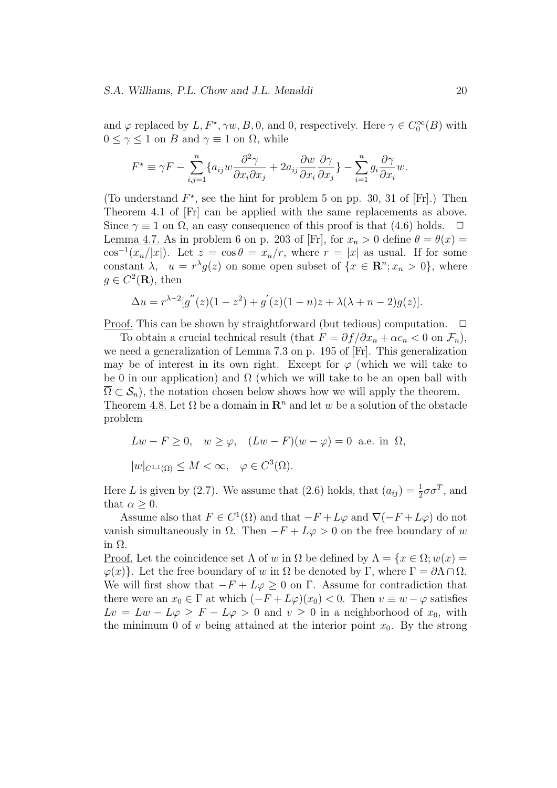and  $\varphi$  replaced by  $L, F^*, \gamma w, B, 0$ , and 0, respectively. Here  $\gamma \in C_0^{\infty}(B)$  with  $0 \leq \gamma \leq 1$  on *B* and  $\gamma \equiv 1$  on  $\Omega$ , while

$$
F^* \equiv \gamma F - \sum_{i,j=1}^n \{a_{ij} w \frac{\partial^2 \gamma}{\partial x_i \partial x_j} + 2a_{ij} \frac{\partial w}{\partial x_i} \frac{\partial \gamma}{\partial x_j} \} - \sum_{i=1}^n g_i \frac{\partial \gamma}{\partial x_i} w.
$$

(To understand  $F^*$ , see the hint for problem 5 on pp. 30, 31 of [Fr].) Then Theorem 4.1 of [Fr] can be applied with the same replacements as above. Since  $\gamma \equiv 1$  on  $\Omega$ , an easy consequence of this proof is that (4.6) holds.  $\Box$ Lemma 4.7. As in problem 6 on p. 203 of [Fr], for  $x_n > 0$  define  $\theta = \theta(x)$  $\cos^{-1}(x_n/|x|)$ . Let  $z = \cos \theta = x_n/r$ , where  $r = |x|$  as usual. If for some constant  $\lambda$ ,  $u = r^{\lambda}g(z)$  on some open subset of  $\{x \in \mathbb{R}^n; x_n > 0\}$ , where  $g \in C^2(\mathbf{R})$ , then

$$
\Delta u = r^{\lambda - 2} [g''(z)(1 - z^2) + g'(z)(1 - n)z + \lambda(\lambda + n - 2)g(z)].
$$

Proof. This can be shown by straightforward (but tedious) computation. □

To obtain a crucial technical result (that  $F = \partial f / \partial x_n + \alpha c_n < 0$  on  $\mathcal{F}_n$ ), we need a generalization of Lemma 7.3 on p. 195 of [Fr]. This generalization may be of interest in its own right. Except for  $\varphi$  (which we will take to be 0 in our application) and  $\Omega$  (which we will take to be an open ball with  $\Omega \subset \mathcal{S}_n$ , the notation chosen below shows how we will apply the theorem. Theorem 4.8. Let  $\Omega$  be a domain in  $\mathbb{R}^n$  and let w be a solution of the obstacle problem

$$
Lw - F \ge 0, \quad w \ge \varphi, \quad (Lw - F)(w - \varphi) = 0 \text{ a.e. in } \Omega,
$$
  

$$
|w|_{C^{1,1}(\Omega)} \le M < \infty, \quad \varphi \in C^3(\Omega).
$$

Here *L* is given by (2.7). We assume that (2.6) holds, that  $(a_{ij}) = \frac{1}{2}\sigma\sigma^T$ , and that  $\alpha \geq 0$ .

Assume also that  $F \in C^1(\Omega)$  and that  $-F + L\varphi$  and  $\nabla(-F + L\varphi)$  do not vanish simultaneously in  $\Omega$ . Then  $-F + L\varphi > 0$  on the free boundary of *w* in Ω.

Proof. Let the coincidence set  $\Lambda$  of *w* in  $\Omega$  be defined by  $\Lambda = \{x \in \Omega; w(x) =$ *φ*(*x*)}. Let the free boundary of *w* in Ω be denoted by Γ, where  $\Gamma = \partial \Lambda \cap \Omega$ . We will first show that  $-F + L\varphi \geq 0$  on Γ. Assume for contradiction that there were an  $x_0 \in \Gamma$  at which  $(-F + L\varphi)(x_0) < 0$ . Then  $v \equiv w - \varphi$  satisfies  $Lv = Lw - L\varphi \geq F - L\varphi > 0$  and  $v \geq 0$  in a neighborhood of  $x_0$ , with the minimum 0 of *v* being attained at the interior point  $x_0$ . By the strong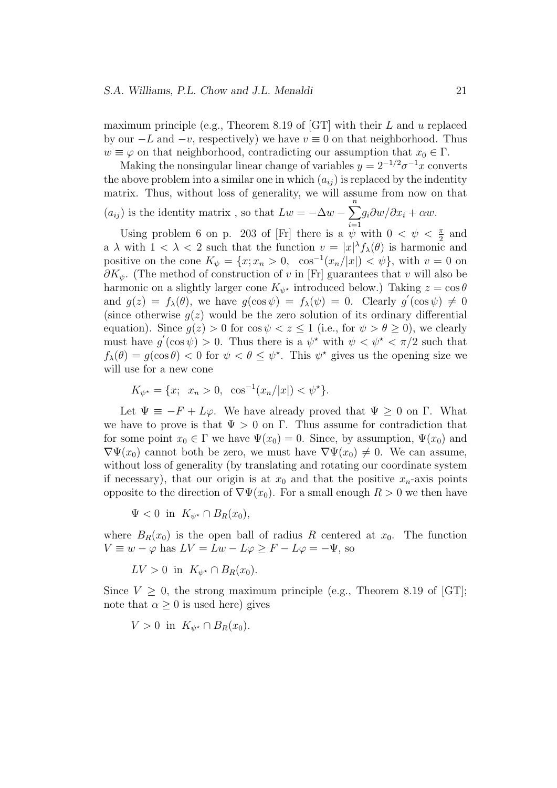maximum principle (e.g., Theorem 8.19 of [GT] with their *L* and *u* replaced by our *−L* and *−v*, respectively) we have *v ≡* 0 on that neighborhood. Thus  $w \equiv \varphi$  on that neighborhood, contradicting our assumption that  $x_0 \in \Gamma$ .

Making the nonsingular linear change of variables  $y = 2^{-1/2} \sigma^{-1} x$  converts the above problem into a similar one in which  $(a_{ij})$  is replaced by the indentity matrix. Thus, without loss of generality, we will assume from now on that  $(a_{ij})$  is the identity matrix, so that  $Lw = -\Delta w - \sum_{i=1}^{n}$  $g_i \partial w/\partial x_i + \alpha w.$ 

*i*=1 Using problem 6 on p. 203 of [Fr] there is a  $\psi$  with  $0 < \psi < \frac{\pi}{2}$  and a  $\lambda$  with  $1 < \lambda < 2$  such that the function  $v = |x|^{\lambda} f_{\lambda}(\theta)$  is harmonic and positive on the cone  $K_{\psi} = \{x; x_n > 0, \cos^{-1}(x_n/|x|) < \psi\}$ , with  $v = 0$  on *∂Kψ*. (The method of construction of *v* in [Fr] guarantees that *v* will also be harmonic on a slightly larger cone  $K_{\psi^*}$  introduced below.) Taking  $z = \cos \theta$ and  $g(z) = f_\lambda(\theta)$ , we have  $g(\cos \psi) = f_\lambda(\psi) = 0$ . Clearly  $g'(\cos \psi) \neq 0$ (since otherwise  $q(z)$  would be the zero solution of its ordinary differential equation). Since  $g(z) > 0$  for  $\cos \psi < z \leq 1$  (i.e., for  $\psi > \theta \geq 0$ ), we clearly must have  $g'(\cos \psi) > 0$ . Thus there is a  $\psi^*$  with  $\psi < \psi^* < \pi/2$  such that  $f_{\lambda}(\theta) = g(\cos \theta) < 0$  for  $\psi < \theta \leq \psi^*$ . This  $\psi^*$  gives us the opening size we will use for a new cone

$$
K_{\psi^*} = \{x; \ x_n > 0, \ \cos^{-1}(x_n/|x|) < \psi^*\}.
$$

Let  $\Psi \equiv -F + L\varphi$ . We have already proved that  $\Psi \geq 0$  on Γ. What we have to prove is that  $\Psi > 0$  on  $\Gamma$ . Thus assume for contradiction that for some point  $x_0 \in \Gamma$  we have  $\Psi(x_0) = 0$ . Since, by assumption,  $\Psi(x_0)$  and  $\nabla \Psi(x_0)$  cannot both be zero, we must have  $\nabla \Psi(x_0) \neq 0$ . We can assume, without loss of generality (by translating and rotating our coordinate system if necessary), that our origin is at  $x_0$  and that the positive  $x_n$ -axis points opposite to the direction of  $\nabla \Psi(x_0)$ . For a small enough  $R > 0$  we then have

 $\Psi < 0$  in  $K_{\psi^*} \cap B_R(x_0)$ ,

where  $B_R(x_0)$  is the open ball of radius R centered at  $x_0$ . The function  $V \equiv w - \varphi$  has  $LV = Lw - L\varphi \geq F - L\varphi = -\Psi$ , so

 $LV > 0$  in  $K_{\psi^*} \cap B_R(x_0)$ .

Since  $V \geq 0$ , the strong maximum principle (e.g., Theorem 8.19 of [GT]; note that  $\alpha \geq 0$  is used here) gives

$$
V > 0 \text{ in } K_{\psi^*} \cap B_R(x_0).
$$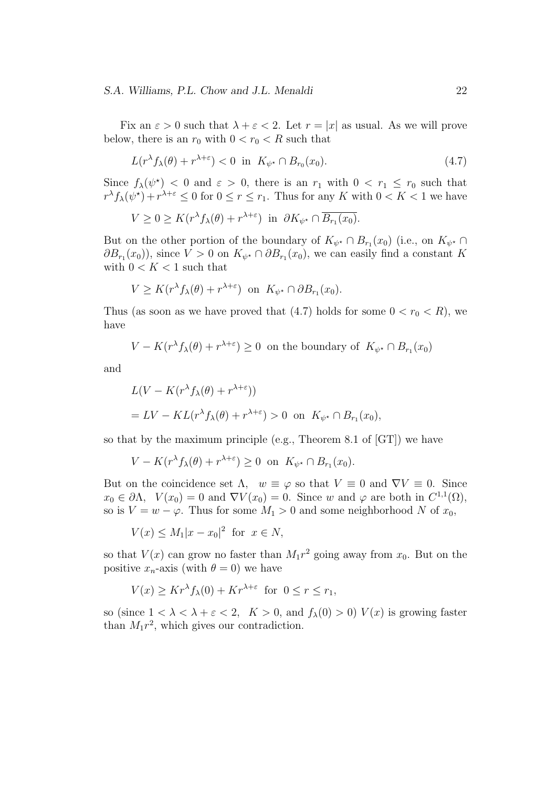Fix an  $\varepsilon > 0$  such that  $\lambda + \varepsilon < 2$ . Let  $r = |x|$  as usual. As we will prove below, there is an  $r_0$  with  $0 < r_0 < R$  such that

$$
L(r^{\lambda} f_{\lambda}(\theta) + r^{\lambda + \varepsilon}) < 0 \quad \text{in} \quad K_{\psi^*} \cap B_{r_0}(x_0). \tag{4.7}
$$

Since  $f_{\lambda}(\psi^*)$  < 0 and  $\varepsilon > 0$ , there is an  $r_1$  with  $0 < r_1 \le r_0$  such that  $r^{\lambda} f_{\lambda}(\psi^{\star}) + r^{\lambda + \varepsilon} \leq 0$  for  $0 \leq r \leq r_1$ . Thus for any *K* with  $0 < K < 1$  we have

$$
V \ge 0 \ge K(r^{\lambda} f_{\lambda}(\theta) + r^{\lambda + \varepsilon}) \text{ in } \partial K_{\psi^*} \cap \overline{B_{r_1}(x_0)}.
$$

But on the other portion of the boundary of  $K_{\psi^*} \cap B_{r_1}(x_0)$  (i.e., on  $K_{\psi^*} \cap$  $\partial B_{r_1}(x_0)$ , since  $V > 0$  on  $K_{\psi^*} \cap \partial B_{r_1}(x_0)$ , we can easily find a constant *K* with  $0 < K < 1$  such that

$$
V \geq K(r^{\lambda} f_{\lambda}(\theta) + r^{\lambda + \varepsilon}) \text{ on } K_{\psi^*} \cap \partial B_{r_1}(x_0).
$$

Thus (as soon as we have proved that  $(4.7)$  holds for some  $0 < r_0 < R$ ), we have

$$
V - K(r^{\lambda} f_{\lambda}(\theta) + r^{\lambda + \varepsilon}) \ge 0
$$
 on the boundary of  $K_{\psi^*} \cap B_{r_1}(x_0)$ 

and

$$
L(V - K(r^{\lambda} f_{\lambda}(\theta) + r^{\lambda + \varepsilon}))
$$
  
= LV - KL(r^{\lambda} f\_{\lambda}(\theta) + r^{\lambda + \varepsilon}) > 0 on  $K_{\psi^*} \cap B_{r_1}(x_0)$ ,

so that by the maximum principle (e.g., Theorem 8.1 of [GT]) we have

$$
V - K(r^{\lambda} f_{\lambda}(\theta) + r^{\lambda + \varepsilon}) \ge 0 \text{ on } K_{\psi^*} \cap B_{r_1}(x_0).
$$

But on the coincidence set  $\Lambda$ ,  $w \equiv \varphi$  so that  $V \equiv 0$  and  $\nabla V \equiv 0$ . Since  $x_0 \in \partial \Lambda$ ,  $V(x_0) = 0$  and  $\nabla V(x_0) = 0$ . Since *w* and  $\varphi$  are both in  $C^{1,1}(\Omega)$ , so is  $V = w - \varphi$ . Thus for some  $M_1 > 0$  and some neighborhood *N* of  $x_0$ ,

$$
V(x) \le M_1 |x - x_0|^2 \text{ for } x \in N,
$$

so that  $V(x)$  can grow no faster than  $M_1r^2$  going away from  $x_0$ . But on the positive  $x_n$ -axis (with  $\theta = 0$ ) we have

$$
V(x) \ge Kr^{\lambda} f_{\lambda}(0) + Kr^{\lambda + \varepsilon} \text{ for } 0 \le r \le r_1,
$$

so (since  $1 < \lambda < \lambda + \varepsilon < 2$ ,  $K > 0$ , and  $f_{\lambda}(0) > 0$ )  $V(x)$  is growing faster than  $M_1r^2$ , which gives our contradiction.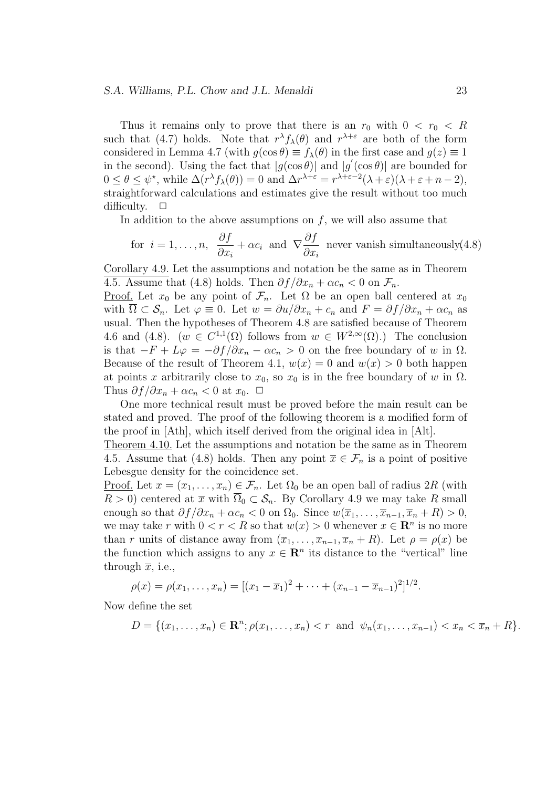#### *S.A. Williams, P.L. Chow and J.L. Menaldi* 23

Thus it remains only to prove that there is an  $r_0$  with  $0 < r_0 < R$ such that (4.7) holds. Note that  $r^{\lambda} f_{\lambda}(\theta)$  and  $r^{\lambda+\varepsilon}$  are both of the form considered in Lemma 4.7 (with  $g(\cos \theta) \equiv f_{\lambda}(\theta)$  in the first case and  $g(z) \equiv 1$ in the second). Using the fact that  $|g(\cos\theta)|$  and  $|g'(\cos\theta)|$  are bounded for  $0 \le \theta \le \psi^*$ , while  $\Delta(r^{\lambda} f_{\lambda}(\theta)) = 0$  and  $\Delta r^{\lambda+\varepsilon} = r^{\lambda+\varepsilon-2}(\lambda+\varepsilon)(\lambda+\varepsilon+n-2)$ , straightforward calculations and estimates give the result without too much difficulty. □

In addition to the above assumptions on  $f$ , we will also assume that

for 
$$
i = 1, ..., n
$$
,  $\frac{\partial f}{\partial x_i} + \alpha c_i$  and  $\nabla \frac{\partial f}{\partial x_i}$  never vanish simultaneously(4.8)

Corollary 4.9. Let the assumptions and notation be the same as in Theorem 4.5. Assume that (4.8) holds. Then  $\partial f/\partial x_n + \alpha c_n < 0$  on  $\mathcal{F}_n$ .

<u>Proof.</u> Let  $x_0$  be any point of  $\mathcal{F}_n$ . Let  $\Omega$  be an open ball centered at  $x_0$ with  $\overline{\Omega} \subset \mathcal{S}_n$ . Let  $\varphi \equiv 0$ . Let  $w = \partial u / \partial x_n + c_n$  and  $F = \partial f / \partial x_n + \alpha c_n$  as usual. Then the hypotheses of Theorem 4.8 are satisfied because of Theorem 4.6 and (4.8).  $(w \in C^{1,1}(\Omega)$  follows from  $w \in W^{2,\infty}(\Omega)$ .) The conclusion is that  $-F + Lφ = -∂f/∂x<sub>n</sub> − αc<sub>n</sub> > 0$  on the free boundary of *w* in Ω. Because of the result of Theorem 4.1,  $w(x) = 0$  and  $w(x) > 0$  both happen at points *x* arbitrarily close to  $x_0$ , so  $x_0$  is in the free boundary of *w* in  $\Omega$ . Thus  $\partial f/\partial x_n + \alpha c_n < 0$  at  $x_0$ .  $\Box$ 

One more technical result must be proved before the main result can be stated and proved. The proof of the following theorem is a modified form of the proof in [Ath], which itself derived from the original idea in [Alt].

Theorem 4.10. Let the assumptions and notation be the same as in Theorem 4.5. Assume that (4.8) holds. Then any point  $\overline{x} \in \mathcal{F}_n$  is a point of positive Lebesgue density for the coincidence set.

Proof. Let  $\overline{x} = (\overline{x}_1, \ldots, \overline{x}_n) \in \mathcal{F}_n$ . Let  $\Omega_0$  be an open ball of radius 2R (with  $R > 0$ ) centered at  $\overline{x}$  with  $\overline{\Omega}_0 \subset \mathcal{S}_n$ . By Corollary 4.9 we may take *R* small enough so that  $\partial f/\partial x_n + \alpha c_n < 0$  on  $\Omega_0$ . Since  $w(\overline{x}_1, \ldots, \overline{x}_{n-1}, \overline{x}_n + R) > 0$ , we may take *r* with  $0 < r < R$  so that  $w(x) > 0$  whenever  $x \in \mathbb{R}^n$  is no more than *r* units of distance away from  $(\overline{x}_1, \ldots, \overline{x}_{n-1}, \overline{x}_n + R)$ . Let  $\rho = \rho(x)$  be the function which assigns to any  $x \in \mathbb{R}^n$  its distance to the "vertical" line through  $\bar{x}$ , i.e.,

$$
\rho(x) = \rho(x_1, \dots, x_n) = [(x_1 - \overline{x}_1)^2 + \dots + (x_{n-1} - \overline{x}_{n-1})^2]^{1/2}.
$$

Now define the set

$$
D = \{(x_1, \ldots, x_n) \in \mathbf{R}^n; \rho(x_1, \ldots, x_n) < r \text{ and } \psi_n(x_1, \ldots, x_{n-1}) < x_n < \overline{x}_n + R\}.
$$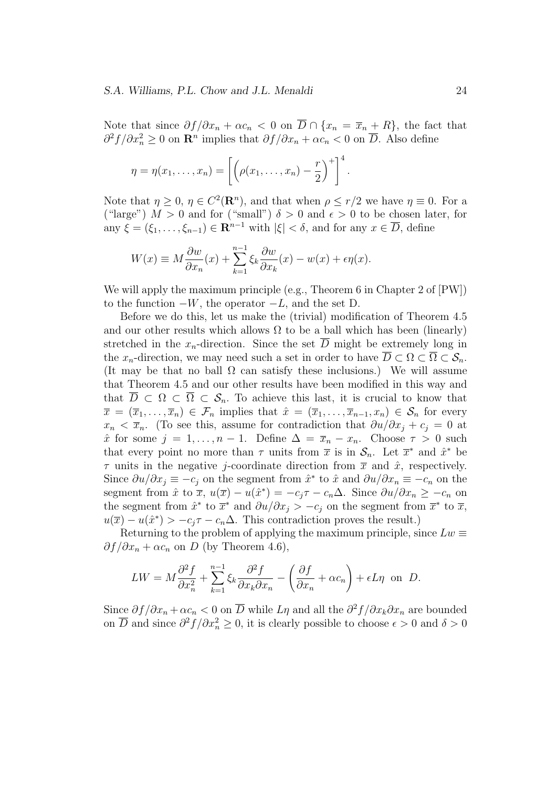Note that since  $\partial f/\partial x_n + \alpha c_n < 0$  on  $\overline{D} \cap \{x_n = \overline{x}_n + R\}$ , the fact that  $\partial^2 f / \partial x_n^2$  ≥ 0 on **R**<sup>*n*</sup> implies that  $\partial f / \partial x_n + \alpha c_n < 0$  on  $\overline{D}$ . Also define

$$
\eta = \eta(x_1, \ldots, x_n) = \left[ \left( \rho(x_1, \ldots, x_n) - \frac{r}{2} \right)^+ \right]^4.
$$

Note that  $\eta \geq 0$ ,  $\eta \in C^2(\mathbb{R}^n)$ , and that when  $\rho \leq r/2$  we have  $\eta \equiv 0$ . For a ("large")  $M > 0$  and for ("small")  $\delta > 0$  and  $\epsilon > 0$  to be chosen later, for any  $\xi = (\xi_1, \ldots, \xi_{n-1}) \in \mathbb{R}^{n-1}$  with  $|\xi| < \delta$ , and for any  $x \in \overline{D}$ , define

$$
W(x) \equiv M \frac{\partial w}{\partial x_n}(x) + \sum_{k=1}^{n-1} \xi_k \frac{\partial w}{\partial x_k}(x) - w(x) + \epsilon \eta(x).
$$

We will apply the maximum principle (e.g., Theorem 6 in Chapter 2 of [PW]) to the function *−W*, the operator *−L*, and the set D.

Before we do this, let us make the (trivial) modification of Theorem 4.5 and our other results which allows  $\Omega$  to be a ball which has been (linearly) stretched in the  $x_n$ -direction. Since the set  $\overline{D}$  might be extremely long in the *x*<sub>*n*</sub>-direction, we may need such a set in order to have  $\overline{D} \subset \Omega \subset \overline{\Omega} \subset \mathcal{S}_n$ . (It may be that no ball  $\Omega$  can satisfy these inclusions.) We will assume that Theorem 4.5 and our other results have been modified in this way and that  $\overline{D} \subset \Omega \subset \overline{\Omega} \subset \mathcal{S}_n$ . To achieve this last, it is crucial to know that  $\overline{x} = (\overline{x}_1, \ldots, \overline{x}_n) \in \mathcal{F}_n$  implies that  $\hat{x} = (\overline{x}_1, \ldots, \overline{x}_{n-1}, x_n) \in \mathcal{S}_n$  for every  $x_n < \overline{x}_n$ . (To see this, assume for contradiction that  $\partial u/\partial x_i + c_j = 0$  at  $\hat{x}$  for some  $j = 1, ..., n - 1$ . Define  $\Delta = \overline{x}_n - x_n$ . Choose  $\tau > 0$  such that every point no more than  $\tau$  units from  $\bar{x}$  is in  $\mathcal{S}_n$ . Let  $\bar{x}^*$  and  $\hat{x}^*$  be *τ* units in the negative *j*-coordinate direction from  $\bar{x}$  and  $\hat{x}$ , respectively. Since  $\partial u/\partial x_j \equiv -c_j$  on the segment from  $\hat{x}^*$  to  $\hat{x}$  and  $\partial u/\partial x_n \equiv -c_n$  on the segment from  $\hat{x}$  to  $\overline{x}$ ,  $u(\overline{x}) - u(\hat{x}^*) = -c_j \tau - c_n \Delta$ . Since  $\partial u / \partial x_n \geq -c_n$  on the segment from  $\hat{x}^*$  to  $\overline{x}^*$  and  $\partial u/\partial x_j > -c_j$  on the segment from  $\overline{x}^*$  to  $\overline{x}$ ,  $u(\overline{x}) - u(\hat{x}^*) > -c_j \tau - c_n \Delta$ . This contradiction proves the result.)

Returning to the problem of applying the maximum principle, since  $Lw \equiv$  $\partial f/\partial x_n + \alpha c_n$  on *D* (by Theorem 4.6),

$$
LW = M\frac{\partial^2 f}{\partial x_n^2} + \sum_{k=1}^{n-1} \xi_k \frac{\partial^2 f}{\partial x_k \partial x_n} - \left(\frac{\partial f}{\partial x_n} + \alpha c_n\right) + \epsilon L \eta
$$
 on D.

Since  $\partial f/\partial x_n + \alpha c_n < 0$  on  $\overline{D}$  while  $L\eta$  and all the  $\partial^2 f/\partial x_k \partial x_n$  are bounded on  $\overline{D}$  and since  $\partial^2 f / \partial x_n^2 \ge 0$ , it is clearly possible to choose  $\epsilon > 0$  and  $\delta > 0$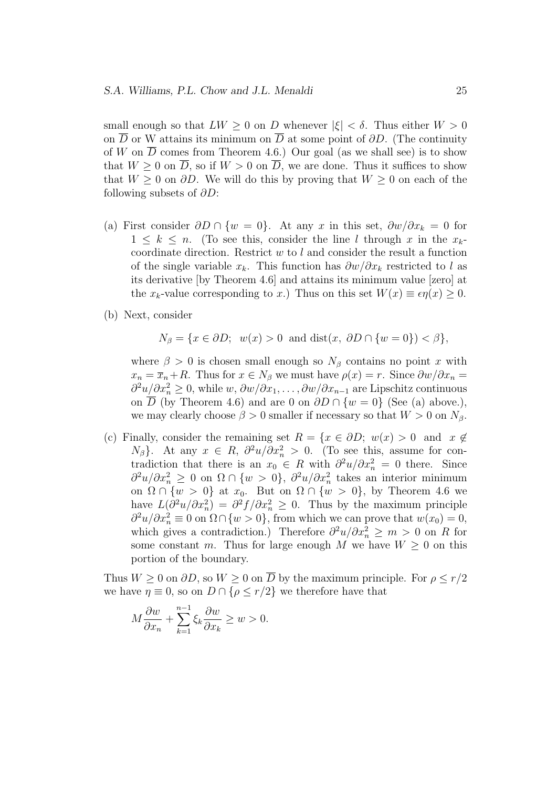small enough so that  $LW \geq 0$  on *D* whenever  $|\xi| < \delta$ . Thus either  $W > 0$ on  $\overline{D}$  or W attains its minimum on  $\overline{D}$  at some point of  $\partial D$ . (The continuity of *W* on  $\overline{D}$  comes from Theorem 4.6.) Our goal (as we shall see) is to show that  $W \geq 0$  on  $\overline{D}$ , so if  $W > 0$  on  $\overline{D}$ , we are done. Thus it suffices to show that  $W \geq 0$  on  $\partial D$ . We will do this by proving that  $W \geq 0$  on each of the following subsets of *∂D*:

- (a) First consider  $\partial D \cap \{w = 0\}$ . At any *x* in this set,  $\partial w / \partial x_k = 0$  for  $1 \leq k \leq n$ . (To see this, consider the line *l* through *x* in the  $x_k$ coordinate direction. Restrict *w* to *l* and consider the result a function of the single variable *xk*. This function has *∂w/∂x<sup>k</sup>* restricted to *l* as its derivative [by Theorem 4.6] and attains its minimum value [zero] at the *x*<sub>k</sub>-value corresponding to *x*.) Thus on this set  $W(x) \equiv \epsilon \eta(x) > 0$ .
- (b) Next, consider

$$
N_{\beta} = \{x \in \partial D; \ w(x) > 0 \text{ and } \text{dist}(x, \partial D \cap \{w = 0\}) < \beta\},\
$$

where  $\beta > 0$  is chosen small enough so  $N_\beta$  contains no point *x* with  $x_n = \overline{x}_n + R$ . Thus for  $x \in N_\beta$  we must have  $\rho(x) = r$ . Since  $\frac{\partial w}{\partial x_n} =$ *∂*<sup>2</sup> $u/\partial x_n^2 \ge 0$ , while *w*,  $\partial w/\partial x_1, \ldots, \partial w/\partial x_{n-1}$  are Lipschitz continuous on *D* (by Theorem 4.6) and are 0 on  $\partial D \cap \{w = 0\}$  (See (a) above.), we may clearly choose  $\beta > 0$  smaller if necessary so that  $W > 0$  on  $N_{\beta}$ .

(c) Finally, consider the remaining set  $R = \{x \in \partial D; w(x) > 0 \text{ and } x \notin C\}$  $N_{\beta}$ }. At any  $x \in R$ ,  $\partial^2 u / \partial x_n^2 > 0$ . (To see this, assume for contradiction that there is an  $x_0 \in R$  with  $\frac{\partial^2 u}{\partial x_n^2} = 0$  there. Since  $∂<sup>2</sup>u/∂x<sub>n</sub><sup>2</sup> ≥ 0$  on  $Ω ∩ {w > 0}$ ,  $∂<sup>2</sup>u/∂x<sub>n</sub><sup>2</sup>$  takes an interior minimum on  $\Omega \cap \{w > 0\}$  at  $x_0$ . But on  $\Omega \cap \{w > 0\}$ , by Theorem 4.6 we have  $L(\partial^2 u/\partial x_n^2) = \partial^2 f/\partial x_n^2 \geq 0$ . Thus by the maximum principle  $\partial^2 u / \partial x_n^2 \equiv 0$  on  $\Omega \cap \{w > 0\}$ , from which we can prove that  $w(x_0) = 0$ , which gives a contradiction.) Therefore  $\partial^2 u / \partial x_n^2 \geq m > 0$  on *R* for some constant *m*. Thus for large enough *M* we have  $W \geq 0$  on this portion of the boundary.

Thus  $W \geq 0$  on  $\partial D$ , so  $W \geq 0$  on  $\overline{D}$  by the maximum principle. For  $\rho \leq r/2$ we have  $\eta \equiv 0$ , so on  $D \cap {\rho \le r/2}$  we therefore have that

$$
M\frac{\partial w}{\partial x_n} + \sum_{k=1}^{n-1} \xi_k \frac{\partial w}{\partial x_k} \ge w > 0.
$$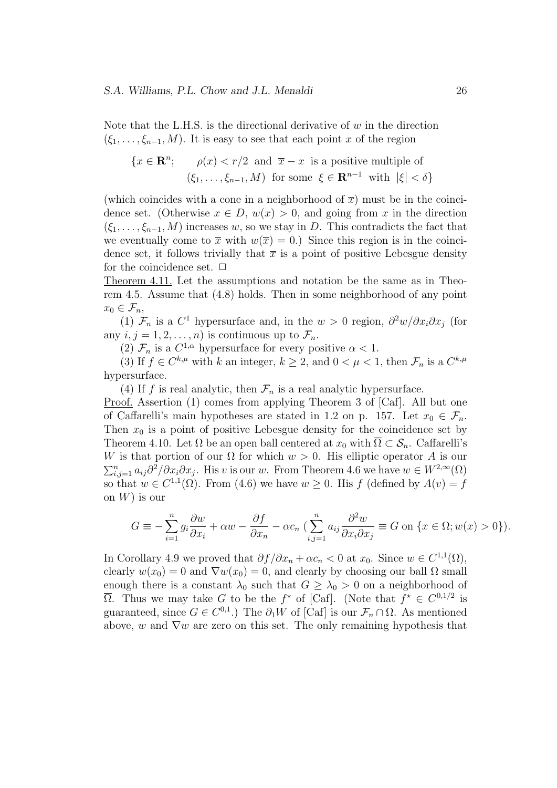Note that the L.H.S. is the directional derivative of *w* in the direction  $(\xi_1, \ldots, \xi_{n-1}, M)$ . It is easy to see that each point *x* of the region

$$
\{x \in \mathbf{R}^n; \quad \rho(x) < r/2 \text{ and } \overline{x} - x \text{ is a positive multiple of } \left(\xi_1, \ldots, \xi_{n-1}, M\right) \text{ for some } \xi \in \mathbf{R}^{n-1} \text{ with } |\xi| < \delta\}
$$

(which coincides with a cone in a neighborhood of  $\bar{x}$ ) must be in the coincidence set. (Otherwise  $x \in D$ ,  $w(x) > 0$ , and going from *x* in the direction  $(\xi_1, \ldots, \xi_{n-1}, M)$  increases *w*, so we stay in *D*. This contradicts the fact that we eventually come to  $\bar{x}$  with  $w(\bar{x}) = 0$ .) Since this region is in the coincidence set, it follows trivially that  $\bar{x}$  is a point of positive Lebesgue density for the coincidence set.  $\Box$ 

Theorem 4.11. Let the assumptions and notation be the same as in Theorem 4.5. Assume that (4.8) holds. Then in some neighborhood of any point  $x_0 \in \mathcal{F}_n$ ,

(1)  $\mathcal{F}_n$  is a  $C^1$  hypersurface and, in the  $w > 0$  region,  $\partial^2 w / \partial x_i \partial x_j$  (for any  $i, j = 1, 2, \ldots, n$  is continuous up to  $\mathcal{F}_n$ .

(2)  $\mathcal{F}_n$  is a  $C^{1,\alpha}$  hypersurface for every positive  $\alpha < 1$ .

(3) If  $f \in C^{k,\mu}$  with  $k$  an integer,  $k \geq 2$ , and  $0 < \mu < 1$ , then  $\mathcal{F}_n$  is a  $C^{k,\mu}$ hypersurface.

(4) If *f* is real analytic, then  $\mathcal{F}_n$  is a real analytic hypersurface.

Proof. Assertion (1) comes from applying Theorem 3 of [Caf]. All but one of Caffarelli's main hypotheses are stated in 1.2 on p. 157. Let  $x_0 \in \mathcal{F}_n$ . Then  $x_0$  is a point of positive Lebesgue density for the coincidence set by Theorem 4.10. Let  $\Omega$  be an open ball centered at  $x_0$  with  $\overline{\Omega} \subset \mathcal{S}_n$ . Caffarelli's *W* is that portion of our  $\Omega$  for which  $w > 0$ . His elliptic operator *A* is our  $\sum_{i,j=1}^n a_{ij}\partial^2/\partial x_i \partial x_j$ . His *v* is our *w*. From Theorem 4.6 we have  $w \in W^{2,\infty}(\Omega)$ so that  $w \in C^{1,1}(\Omega)$ . From (4.6) we have  $w \geq 0$ . His *f* (defined by  $A(v) = f$ on *W*) is our

$$
G \equiv -\sum_{i=1}^{n} g_i \frac{\partial w}{\partial x_i} + \alpha w - \frac{\partial f}{\partial x_n} - \alpha c_n \left( \sum_{i,j=1}^{n} a_{ij} \frac{\partial^2 w}{\partial x_i \partial x_j} \equiv G \text{ on } \{x \in \Omega; w(x) > 0\} \right).
$$

In Corollary 4.9 we proved that  $\partial f/\partial x_n + \alpha c_n < 0$  at  $x_0$ . Since  $w \in C^{1,1}(\Omega)$ , clearly  $w(x_0) = 0$  and  $\nabla w(x_0) = 0$ , and clearly by choosing our ball  $\Omega$  small enough there is a constant  $\lambda_0$  such that  $G \geq \lambda_0 > 0$  on a neighborhood of  $\overline{\Omega}$ . Thus we may take *G* to be the *f*<sup>\*</sup> of [Caf]. (Note that  $f^* \in C^{0,1/2}$  is guaranteed, since  $G \in C^{0,1}$ .) The  $\partial_1 W$  of [Caf] is our  $\mathcal{F}_n \cap \Omega$ . As mentioned above, *w* and *∇w* are zero on this set. The only remaining hypothesis that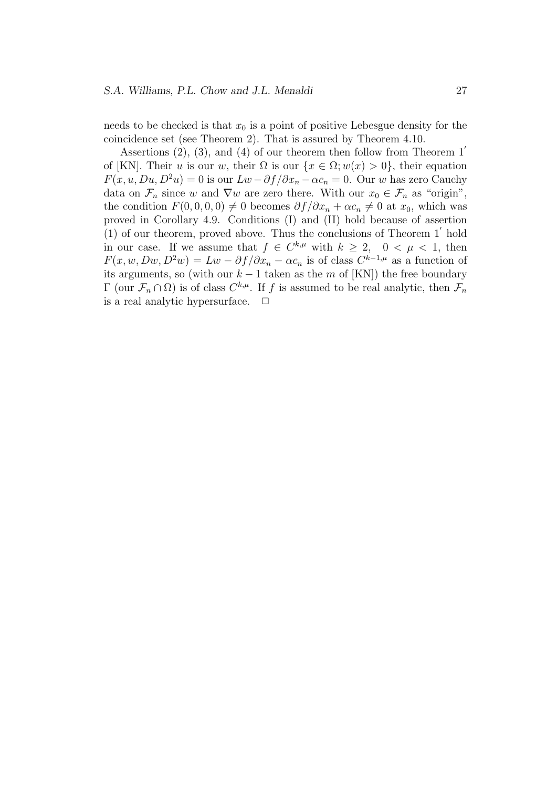needs to be checked is that  $x_0$  is a point of positive Lebesgue density for the coincidence set (see Theorem 2). That is assured by Theorem 4.10.

Assertions (2), (3), and (4) of our theorem then follow from Theorem 1*′* of [KN]. Their *u* is our *w*, their  $\Omega$  is our  $\{x \in \Omega; w(x) > 0\}$ , their equation  $F(x, u, Du, D^2u) = 0$  is our  $Lw - \partial f/\partial x_n - \alpha c_n = 0$ . Our *w* has zero Cauchy data on  $\mathcal{F}_n$  since *w* and  $\nabla w$  are zero there. With our  $x_0 \in \mathcal{F}_n$  as "origin", the condition  $F(0, 0, 0, 0) \neq 0$  becomes  $\partial f/\partial x_n + \alpha c_n \neq 0$  at  $x_0$ , which was proved in Corollary 4.9. Conditions (I) and (II) hold because of assertion (1) of our theorem, proved above. Thus the conclusions of Theorem 1*′* hold in our case. If we assume that  $f \in C^{k,\mu}$  with  $k \geq 2$ ,  $0 < \mu < 1$ , then  $F(x, w, Dw, D^2w) = Lw - \partial f/\partial x_n - \alpha c_n$  is of class  $C^{k-1,\mu}$  as a function of its arguments, so (with our  $k-1$  taken as the  $m$  of [KN]) the free boundary  $\Gamma$  (our  $\mathcal{F}_n \cap \Omega$ ) is of class  $C^{k,\mu}$ . If f is assumed to be real analytic, then  $\mathcal{F}_n$ is a real analytic hypersurface.  $\Box$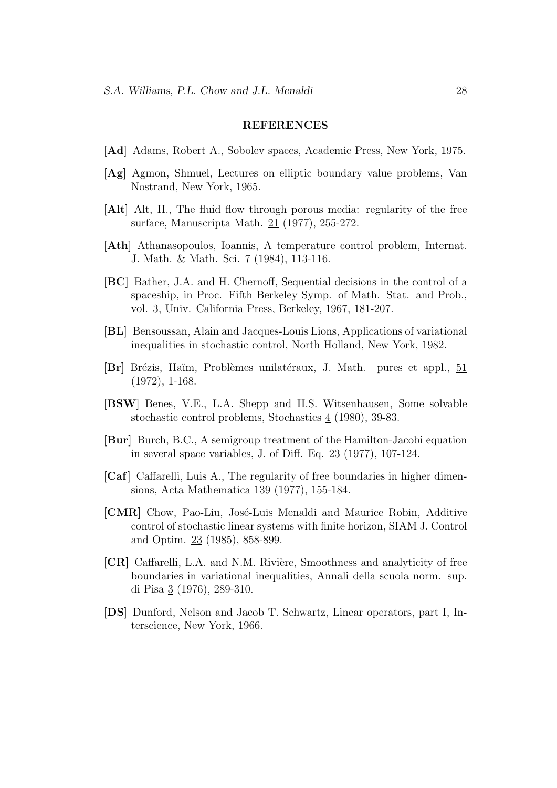#### **REFERENCES**

- **[Ad]** Adams, Robert A., Sobolev spaces, Academic Press, New York, 1975.
- **[Ag]** Agmon, Shmuel, Lectures on elliptic boundary value problems, Van Nostrand, New York, 1965.
- **[Alt]** Alt, H., The fluid flow through porous media: regularity of the free surface, Manuscripta Math. 21 (1977), 255-272.
- **[Ath]** Athanasopoulos, Ioannis, A temperature control problem, Internat. J. Math. & Math. Sci. 7 (1984), 113-116.
- **[BC]** Bather, J.A. and H. Chernoff, Sequential decisions in the control of a spaceship, in Proc. Fifth Berkeley Symp. of Math. Stat. and Prob., vol. 3, Univ. California Press, Berkeley, 1967, 181-207.
- **[BL]** Bensoussan, Alain and Jacques-Louis Lions, Applications of variational inequalities in stochastic control, North Holland, New York, 1982.
- **[Br]** Brézis, Haïm, Problèmes unilatéraux, J. Math. pures et appl., 51 (1972), 1-168.
- **[BSW]** Benes, V.E., L.A. Shepp and H.S. Witsenhausen, Some solvable stochastic control problems, Stochastics 4 (1980), 39-83.
- **[Bur]** Burch, B.C., A semigroup treatment of the Hamilton-Jacobi equation in several space variables, J. of Diff. Eq. 23 (1977), 107-124.
- **[Caf]** Caffarelli, Luis A., The regularity of free boundaries in higher dimensions, Acta Mathematica 139 (1977), 155-184.
- **[CMR]** Chow, Pao-Liu, José-Luis Menaldi and Maurice Robin, Additive control of stochastic linear systems with finite horizon, SIAM J. Control and Optim. 23 (1985), 858-899.
- **[CR]** Caffarelli, L.A. and N.M. Rivière, Smoothness and analyticity of free boundaries in variational inequalities, Annali della scuola norm. sup. di Pisa 3 (1976), 289-310.
- **[DS]** Dunford, Nelson and Jacob T. Schwartz, Linear operators, part I, Interscience, New York, 1966.